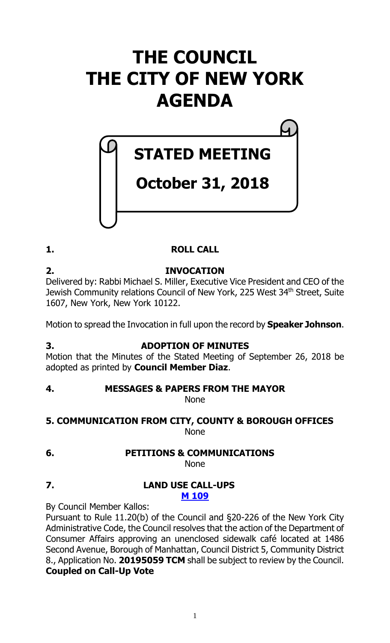# **THE COUNCIL THE CITY OF NEW YORK AGENDA**

# **STATED MEETING**

# **October 31, 2018**

## **1. ROLL CALL**

**2. INVOCATION** Delivered by: Rabbi Michael S. Miller, Executive Vice President and CEO of the Jewish Community relations Council of New York, 225 West 34th Street, Suite 1607, New York, New York 10122.

Motion to spread the Invocation in full upon the record by **Speaker Johnson**.

## **3. ADOPTION OF MINUTES**

Motion that the Minutes of the Stated Meeting of September 26, 2018 be adopted as printed by **Council Member Diaz**.

## **4. MESSAGES & PAPERS FROM THE MAYOR**

None

## **5. COMMUNICATION FROM CITY, COUNTY & BOROUGH OFFICES** None

#### **6. PETITIONS & COMMUNICATIONS** None

## **7. LAND USE CALL-UPS M [109](https://legistar.council.nyc.gov/LegislationDetail.aspx?ID=3712895&GUID=811B49AB-093F-4D75-ACA8-1A4669DD2FE6&Options=&Search=)**

By Council Member Kallos:

Pursuant to Rule 11.20(b) of the Council and §20-226 of the New York City Administrative Code, the Council resolves that the action of the Department of Consumer Affairs approving an unenclosed sidewalk café located at 1486 Second Avenue, Borough of Manhattan, Council District 5, Community District 8., Application No. **20195059 TCM** shall be subject to review by the Council. **Coupled on Call-Up Vote**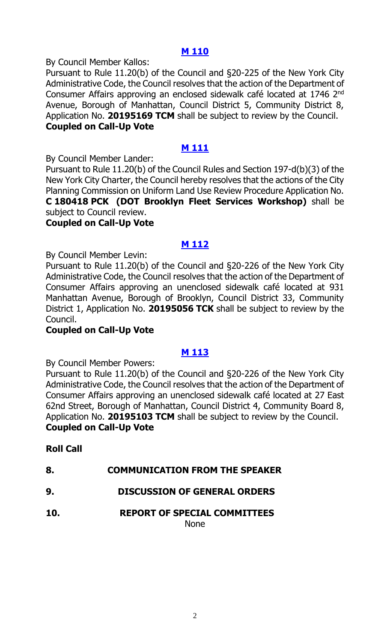## **M [110](https://legistar.council.nyc.gov/LegislationDetail.aspx?ID=3712896&GUID=FB120270-55BB-49FD-934E-3073E371469D&Options=&Search=)**

By Council Member Kallos:

Pursuant to Rule 11.20(b) of the Council and §20-225 of the New York City Administrative Code, the Council resolves that the action of the Department of Consumer Affairs approving an enclosed sidewalk café located at 1746 2nd Avenue, Borough of Manhattan, Council District 5, Community District 8, Application No. **20195169 TCM** shall be subject to review by the Council. **Coupled on Call-Up Vote**

## **M [111](https://legistar.council.nyc.gov/LegislationDetail.aspx?ID=3712897&GUID=B784773A-C59E-4469-AC0A-D4FF372513D7&Options=&Search=)**

By Council Member Lander:

Pursuant to Rule 11.20(b) of the Council Rules and Section 197-d(b)(3) of the New York City Charter, the Council hereby resolves that the actions of the City Planning Commission on Uniform Land Use Review Procedure Application No. **C 180418 PCK (DOT Brooklyn Fleet Services Workshop)** shall be subject to Council review.

## **Coupled on Call-Up Vote**

## **M [112](https://legistar.council.nyc.gov/LegislationDetail.aspx?ID=3712932&GUID=C78BE5B5-3989-4EFF-B1D6-38348A5D7F74&Options=&Search=)**

By Council Member Levin:

Pursuant to Rule 11.20(b) of the Council and §20-226 of the New York City Administrative Code, the Council resolves that the action of the Department of Consumer Affairs approving an unenclosed sidewalk café located at 931 Manhattan Avenue, Borough of Brooklyn, Council District 33, Community District 1, Application No. **20195056 TCK** shall be subject to review by the Council.

## **Coupled on Call-Up Vote**

## **M [113](https://legistar.council.nyc.gov/LegislationDetail.aspx?ID=3712933&GUID=75780F05-38C4-4D0D-90CB-678BB7440A6D&Options=&Search=)**

By Council Member Powers:

Pursuant to Rule 11.20(b) of the Council and §20-226 of the New York City Administrative Code, the Council resolves that the action of the Department of Consumer Affairs approving an unenclosed sidewalk café located at 27 East 62nd Street, Borough of Manhattan, Council District 4, Community Board 8, Application No. **20195103 TCM** shall be subject to review by the Council. **Coupled on Call-Up Vote**

## **Roll Call**

| <b>COMMUNICATION FROM THE SPEAKER</b><br>8. |  |
|---------------------------------------------|--|
|---------------------------------------------|--|

- **9. DISCUSSION OF GENERAL ORDERS**
- **10. REPORT OF SPECIAL COMMITTEES**

None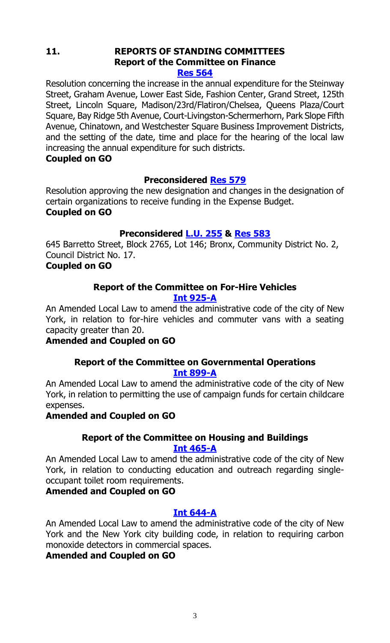#### **11. REPORTS OF STANDING COMMITTEES Report of the Committee on Finance [Res 564](https://legistar.council.nyc.gov/LegislationDetail.aspx?ID=3704326&GUID=A3497C64-1E0E-4970-B850-61B67193FF7C&Options=&Search=)**

Resolution concerning the increase in the annual expenditure for the Steinway Street, Graham Avenue, Lower East Side, Fashion Center, Grand Street, 125th Street, Lincoln Square, Madison/23rd/Flatiron/Chelsea, Queens Plaza/Court Square, Bay Ridge 5th Avenue, Court-Livingston-Schermerhorn, Park Slope Fifth Avenue, Chinatown, and Westchester Square Business Improvement Districts, and the setting of the date, time and place for the hearing of the local law increasing the annual expenditure for such districts.

## **Coupled on GO**

## **Preconsidered [Res](https://legistar.council.nyc.gov/LegislationDetail.aspx?ID=3710644&GUID=6BF2BE3C-1A4A-4A3A-9C1D-4C756B250882&Options=&Search=) 579**

Resolution approving the new designation and changes in the designation of certain organizations to receive funding in the Expense Budget. **Coupled on GO**

## **Preconsidered [L.U.](https://legistar.council.nyc.gov/LegislationDetail.aspx?ID=3710645&GUID=CBC7E04C-49B8-4559-8D02-5A6A965D3AB3&Options=&Search=) 255 & [Res](https://legistar.council.nyc.gov/LegislationDetail.aspx?ID=3714037&GUID=2049CC01-2644-4B6A-986C-ED98CC4E4E91&Options=&Search=) 583**

645 Barretto Street, Block 2765, Lot 146; Bronx, Community District No. 2, Council District No. 17.

## **Coupled on GO**

## **Report of the Committee on For-Hire Vehicles [Int 925-A](https://legistar.council.nyc.gov/LegislationDetail.aspx?ID=3498528&GUID=D90F1FD1-064E-40AD-BBCC-976DEBF0E0AF&Options=&Search=)**

An Amended Local Law to amend the administrative code of the city of New York, in relation to for-hire vehicles and commuter vans with a seating capacity greater than 20.

## **Amended and Coupled on GO**

## **Report of the Committee on Governmental Operations [Int 899-A](https://legistar.council.nyc.gov/LegislationDetail.aspx?ID=3498515&GUID=9F3BDE23-EE5D-4A6F-ADB2-E546593F538B&Options=&Search=)**

An Amended Local Law to amend the administrative code of the city of New York, in relation to permitting the use of campaign funds for certain childcare expenses.

## **Amended and Coupled on GO**

## **Report of the Committee on Housing and Buildings [Int 465-A](https://legistar.council.nyc.gov/LegislationDetail.aspx?ID=3343776&GUID=06B23DE4-0407-4947-9457-039015B1E132&Options=&Search=)**

An Amended Local Law to amend the administrative code of the city of New York, in relation to conducting education and outreach regarding singleoccupant toilet room requirements.

## **Amended and Coupled on GO**

## **[Int 644-A](https://legistar.council.nyc.gov/LegislationDetail.aspx?ID=3371438&GUID=128D0201-1AD4-4158-B4E6-C2FE9C99A3C1&Options=&Search=)**

An Amended Local Law to amend the administrative code of the city of New York and the New York city building code, in relation to requiring carbon monoxide detectors in commercial spaces.

## **Amended and Coupled on GO**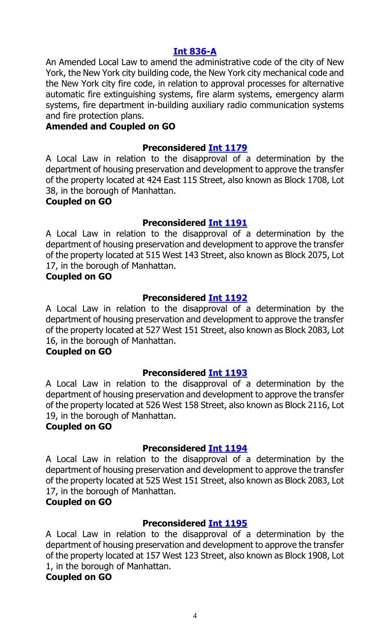## **[Int 836-A](https://legistar.council.nyc.gov/LegislationDetail.aspx?ID=3486135&GUID=01E0DAB6-938C-48DC-B39B-A53F65E206A4&Options=&Search=)**

An Amended Local Law to amend the administrative code of the city of New York, the New York city building code, the New York city mechanical code and the New York city fire code, in relation to approval processes for alternative automatic fire extinguishing systems, fire alarm systems, emergency alarm systems, fire department in-building auxiliary radio communication systems and fire protection plans.

#### **Amended and Coupled on GO**

#### **Preconsidered Int [1179](https://legistar.council.nyc.gov/LegislationDetail.aspx?ID=3713567&GUID=14E423DE-C065-4ADF-8BD8-AD0C488429E4&Options=&Search=)**

A Local Law in relation to the disapproval of a determination by the department of housing preservation and development to approve the transfer of the property located at 424 East 115 Street, also known as Block 1708, Lot 38, in the borough of Manhattan.

#### **Coupled on GO**

#### **Preconsidered Int [1191](https://legistar.council.nyc.gov/LegislationDetail.aspx?ID=3713568&GUID=6767563C-FBC4-4747-8227-B7A5C6FCB459&Options=&Search=)**

A Local Law in relation to the disapproval of a determination by the department of housing preservation and development to approve the transfer of the property located at 515 West 143 Street, also known as Block 2075, Lot 17, in the borough of Manhattan.

#### **Coupled on GO**

#### **Preconsidered Int [1192](https://legistar.council.nyc.gov/LegislationDetail.aspx?ID=3713569&GUID=EA4E5CF0-2F66-438B-B4A0-405588FB78C3&Options=&Search=)**

A Local Law in relation to the disapproval of a determination by the department of housing preservation and development to approve the transfer of the property located at 527 West 151 Street, also known as Block 2083, Lot 16, in the borough of Manhattan.

#### **Coupled on GO**

## **Preconsidered Int [1193](https://legistar.council.nyc.gov/LegislationDetail.aspx?ID=3713570&GUID=7D7655DE-2272-446C-BBC8-5A23EF2ACB64&Options=&Search=)**

A Local Law in relation to the disapproval of a determination by the department of housing preservation and development to approve the transfer of the property located at 526 West 158 Street, also known as Block 2116, Lot 19, in the borough of Manhattan.

## **Coupled on GO**

## **Preconsidered Int [1194](https://legistar.council.nyc.gov/LegislationDetail.aspx?ID=3713579&GUID=2D393802-59DE-46C5-9602-363D12F6BDDE&Options=&Search=)**

A Local Law in relation to the disapproval of a determination by the department of housing preservation and development to approve the transfer of the property located at 525 West 151 Street, also known as Block 2083, Lot 17, in the borough of Manhattan.

## **Coupled on GO**

## **Preconsidered Int [1195](https://legistar.council.nyc.gov/LegislationDetail.aspx?ID=3713571&GUID=8DD0FDC6-16F7-4E5F-93B4-4FB2855CFD42&Options=&Search=)**

A Local Law in relation to the disapproval of a determination by the department of housing preservation and development to approve the transfer of the property located at 157 West 123 Street, also known as Block 1908, Lot 1, in the borough of Manhattan.

#### **Coupled on GO**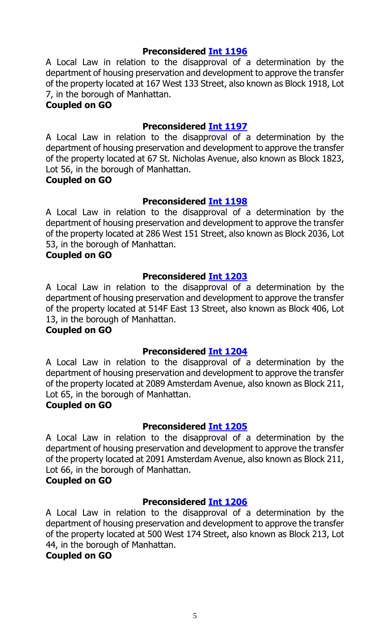## **Preconsidered Int [1196](https://legistar.council.nyc.gov/LegislationDetail.aspx?ID=3713572&GUID=CE9CC12C-DA63-4DC3-9C15-9D702A6035E4&Options=&Search=)**

A Local Law in relation to the disapproval of a determination by the department of housing preservation and development to approve the transfer of the property located at 167 West 133 Street, also known as Block 1918, Lot 7, in the borough of Manhattan.

## **Coupled on GO**

## **Preconsidered Int [1197](https://legistar.council.nyc.gov/LegislationDetail.aspx?ID=3713573&GUID=34F83E45-F3B4-4D74-9CE1-1CC76EBDBE1C&Options=&Search=)**

A Local Law in relation to the disapproval of a determination by the department of housing preservation and development to approve the transfer of the property located at 67 St. Nicholas Avenue, also known as Block 1823, Lot 56, in the borough of Manhattan.

#### **Coupled on GO**

## **Preconsidered Int [1198](https://legistar.council.nyc.gov/LegislationDetail.aspx?ID=3713574&GUID=54FBF518-58D2-4714-9084-B0DCA30B08FE&Options=&Search=)**

A Local Law in relation to the disapproval of a determination by the department of housing preservation and development to approve the transfer of the property located at 286 West 151 Street, also known as Block 2036, Lot 53, in the borough of Manhattan.

#### **Coupled on GO**

## **Preconsidered Int [1203](https://legistar.council.nyc.gov/LegislationDetail.aspx?ID=3713575&GUID=18985B38-B485-4815-90C8-08EF637F49A5&Options=&Search=)**

A Local Law in relation to the disapproval of a determination by the department of housing preservation and development to approve the transfer of the property located at 514F East 13 Street, also known as Block 406, Lot 13, in the borough of Manhattan.

## **Coupled on GO**

## **Preconsidered Int [1204](https://legistar.council.nyc.gov/LegislationDetail.aspx?ID=3713576&GUID=D061F090-2D55-4AFE-B97D-741DE2B96890&Options=&Search=)**

A Local Law in relation to the disapproval of a determination by the department of housing preservation and development to approve the transfer of the property located at 2089 Amsterdam Avenue, also known as Block 211, Lot 65, in the borough of Manhattan.

#### **Coupled on GO**

## **Preconsidered Int [1205](https://legistar.council.nyc.gov/LegislationDetail.aspx?ID=3713577&GUID=617A3C87-3C90-4F13-B98B-35A52491684D&Options=&Search=)**

A Local Law in relation to the disapproval of a determination by the department of housing preservation and development to approve the transfer of the property located at 2091 Amsterdam Avenue, also known as Block 211, Lot 66, in the borough of Manhattan.

## **Coupled on GO**

## **Preconsidered Int [1206](https://legistar.council.nyc.gov/LegislationDetail.aspx?ID=3713578&GUID=A4A7B595-4F46-410B-90F6-D9C2C6AA966C&Options=&Search=)**

A Local Law in relation to the disapproval of a determination by the department of housing preservation and development to approve the transfer of the property located at 500 West 174 Street, also known as Block 213, Lot 44, in the borough of Manhattan.

#### **Coupled on GO**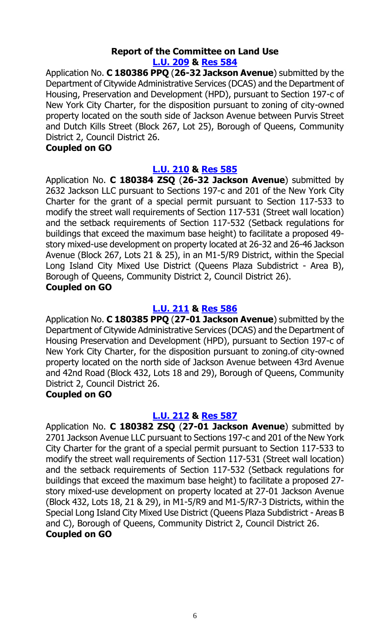#### **Report of the Committee on Land Use [L.U. 209](https://legistar.council.nyc.gov/LegislationDetail.aspx?ID=3673476&GUID=23DEDAB3-A9ED-4BF7-A674-31DCEA43E6F8&Options=&Search=) & [Res](https://legistar.council.nyc.gov/LegislationDetail.aspx?ID=3709635&GUID=47E51737-FA2A-47B0-8352-48361673F09B&Options=&Search=) 584**

Application No. **C 180386 PPQ** (**26-32 Jackson Avenue**) submitted by the Department of Citywide Administrative Services (DCAS) and the Department of Housing, Preservation and Development (HPD), pursuant to Section 197-c of New York City Charter, for the disposition pursuant to zoning of city-owned property located on the south side of Jackson Avenue between Purvis Street and Dutch Kills Street (Block 267, Lot 25), Borough of Queens, Community District 2, Council District 26.

#### **Coupled on GO**

## **[L.U. 210](https://legistar.council.nyc.gov/LegislationDetail.aspx?ID=3673477&GUID=7DBCB0A3-2F23-4158-B885-ADCE93FC2214&Options=&Search=) & [Res](https://legistar.council.nyc.gov/LegislationDetail.aspx?ID=3709636&GUID=6B542456-3D4D-412A-BFBD-83444E94777B&Options=&Search=) 585**

Application No. **C 180384 ZSQ** (**26-32 Jackson Avenue**) submitted by 2632 Jackson LLC pursuant to Sections 197-c and 201 of the New York City Charter for the grant of a special permit pursuant to Section 117-533 to modify the street wall requirements of Section 117-531 (Street wall location) and the setback requirements of Section 117-532 (Setback regulations for buildings that exceed the maximum base height) to facilitate a proposed 49 story mixed-use development on property located at 26-32 and 26-46 Jackson Avenue (Block 267, Lots 21 & 25), in an M1-5/R9 District, within the Special Long Island City Mixed Use District (Queens Plaza Subdistrict - Area B), Borough of Queens, Community District 2, Council District 26).

#### **Coupled on GO**

## **[L.U. 211](https://legistar.council.nyc.gov/LegislationDetail.aspx?ID=3673504&GUID=DCA76EA7-B51A-4363-A177-7386E425CBD7&Options=&Search=) & [Res](https://legistar.council.nyc.gov/LegislationDetail.aspx?ID=3709637&GUID=8E75983B-7C33-4FEB-ADFD-2906BEE79108&Options=&Search=) 586**

Application No. **C 180385 PPQ** (**27-01 Jackson Avenue**) submitted by the Department of Citywide Administrative Services (DCAS) and the Department of Housing Preservation and Development (HPD), pursuant to Section 197-c of New York City Charter, for the disposition pursuant to zoning.of city-owned property located on the north side of Jackson Avenue between 43rd Avenue and 42nd Road (Block 432, Lots 18 and 29), Borough of Queens, Community District 2, Council District 26.

## **Coupled on GO**

## **[L.U. 212](https://legistar.council.nyc.gov/LegislationDetail.aspx?ID=3673505&GUID=FB1BAA9C-1F7F-4A70-A7CF-F0025DC525E9&Options=&Search=) & [Res](https://legistar.council.nyc.gov/LegislationDetail.aspx?ID=3709638&GUID=24EB84CF-572C-4254-9FD5-D7C60C188752&Options=&Search=) 587**

Application No. **C 180382 ZSQ** (**27-01 Jackson Avenue**) submitted by 2701 Jackson Avenue LLC pursuant to Sections 197-c and 201 of the New York City Charter for the grant of a special permit pursuant to Section 117-533 to modify the street wall requirements of Section 117-531 (Street wall location) and the setback requirements of Section 117-532 (Setback regulations for buildings that exceed the maximum base height) to facilitate a proposed 27 story mixed-use development on property located at 27-01 Jackson Avenue (Block 432, Lots 18, 21 & 29), in M1-5/R9 and M1-5/R7-3 Districts, within the Special Long Island City Mixed Use District (Queens Plaza Subdistrict - Areas B and C), Borough of Queens, Community District 2, Council District 26. **Coupled on GO**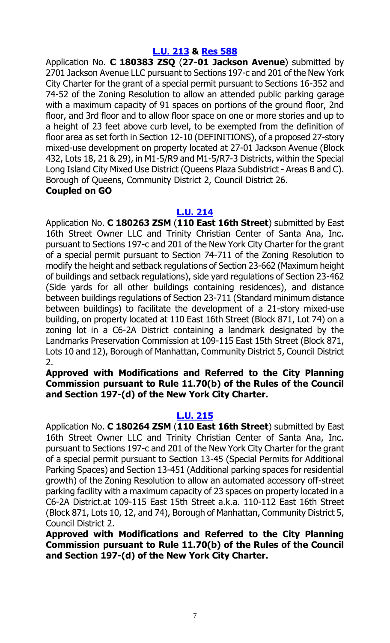#### **[L.U. 213](https://legistar.council.nyc.gov/LegislationDetail.aspx?ID=3673506&GUID=BD60BF85-D3FE-41F8-ACD7-6C1AA765E871&Options=&Search=) & [Res](https://legistar.council.nyc.gov/LegislationDetail.aspx?ID=3709639&GUID=E0E31A7B-9DE9-43BB-AF1A-D93DB8BC063D&Options=&Search=) 588**

Application No. **C 180383 ZSQ** (**27-01 Jackson Avenue**) submitted by 2701 Jackson Avenue LLC pursuant to Sections 197-c and 201 of the New York City Charter for the grant of a special permit pursuant to Sections 16-352 and 74-52 of the Zoning Resolution to allow an attended public parking garage with a maximum capacity of 91 spaces on portions of the ground floor, 2nd floor, and 3rd floor and to allow floor space on one or more stories and up to a height of 23 feet above curb level, to be exempted from the definition of floor area as set forth in Section 12-10 (DEFINITIONS), of a proposed 27-story mixed-use development on property located at 27-01 Jackson Avenue (Block 432, Lots 18, 21 & 29), in M1-5/R9 and M1-5/R7-3 Districts, within the Special Long Island City Mixed Use District (Queens Plaza Subdistrict - Areas B and C). Borough of Queens, Community District 2, Council District 26. **Coupled on GO**

#### **[L.U. 214](https://legistar.council.nyc.gov/LegislationDetail.aspx?ID=3673507&GUID=46A9D0CF-C203-47A9-A2B2-E460710AC9F5&Options=&Search=)**

Application No. **C 180263 ZSM** (**110 East 16th Street**) submitted by East 16th Street Owner LLC and Trinity Christian Center of Santa Ana, Inc. pursuant to Sections 197-c and 201 of the New York City Charter for the grant of a special permit pursuant to Section 74-711 of the Zoning Resolution to modify the height and setback regulations of Section 23-662 (Maximum height of buildings and setback regulations), side yard regulations of Section 23-462 (Side yards for all other buildings containing residences), and distance between buildings regulations of Section 23-711 (Standard minimum distance between buildings) to facilitate the development of a 21-story mixed-use building, on property located at 110 East 16th Street (Block 871, Lot 74) on a zoning lot in a C6-2A District containing a landmark designated by the Landmarks Preservation Commission at 109-115 East 15th Street (Block 871, Lots 10 and 12), Borough of Manhattan, Community District 5, Council District 2.

**Approved with Modifications and Referred to the City Planning Commission pursuant to Rule 11.70(b) of the Rules of the Council and Section 197-(d) of the New York City Charter.**

## **[L.U. 215](https://legistar.council.nyc.gov/LegislationDetail.aspx?ID=3673508&GUID=DBF1280E-A266-4C2B-9245-CD6BBD24D176&Options=&Search=)**

Application No. **C 180264 ZSM** (**110 East 16th Street**) submitted by East 16th Street Owner LLC and Trinity Christian Center of Santa Ana, Inc. pursuant to Sections 197-c and 201 of the New York City Charter for the grant of a special permit pursuant to Section 13-45 (Special Permits for Additional Parking Spaces) and Section 13-451 (Additional parking spaces for residential growth) of the Zoning Resolution to allow an automated accessory off-street parking facility with a maximum capacity of 23 spaces on property located in a C6-2A District.at 109-115 East 15th Street a.k.a. 110-112 East 16th Street (Block 871, Lots 10, 12, and 74), Borough of Manhattan, Community District 5, Council District 2.

**Approved with Modifications and Referred to the City Planning Commission pursuant to Rule 11.70(b) of the Rules of the Council and Section 197-(d) of the New York City Charter.**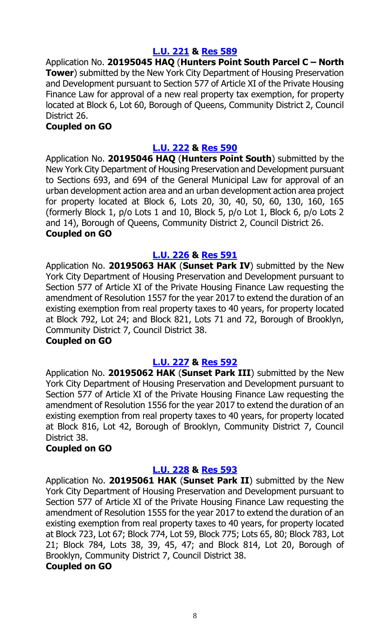## **[L.U. 221](https://legistar.council.nyc.gov/LegislationDetail.aspx?ID=3673514&GUID=DC35DB64-4FE8-44AD-85DD-C021A1B34B55&Options=&Search=) & [Res](https://legistar.council.nyc.gov/LegislationDetail.aspx?ID=3709642&GUID=1941100E-2A69-4E0F-9ADC-7C4A1D5F00C7&Options=&Search=) 589**

Application No. **20195045 HAQ** (**Hunters Point South Parcel C – North Tower**) submitted by the New York City Department of Housing Preservation and Development pursuant to Section 577 of Article XI of the Private Housing Finance Law for approval of a new real property tax exemption, for property located at Block 6, Lot 60, Borough of Queens, Community District 2, Council District 26.

## **Coupled on GO**

## **[L.U. 222](https://legistar.council.nyc.gov/LegislationDetail.aspx?ID=3673515&GUID=6F368358-33E3-4FAB-A3D6-70654D3A9300&Options=&Search=) & [Res](https://legistar.council.nyc.gov/LegislationDetail.aspx?ID=3709643&GUID=F5360227-37CF-4EF9-BD8C-C63ECF497C08&Options=&Search=) 590**

Application No. **20195046 HAQ** (**Hunters Point South**) submitted by the New York City Department of Housing Preservation and Development pursuant to Sections 693, and 694 of the General Municipal Law for approval of an urban development action area and an urban development action area project for property located at Block 6, Lots 20, 30, 40, 50, 60, 130, 160, 165 (formerly Block 1, p/o Lots 1 and 10, Block 5, p/o Lot 1, Block 6, p/o Lots 2 and 14), Borough of Queens, Community District 2, Council District 26. **Coupled on GO**

## **[L.U. 226](https://legistar.council.nyc.gov/LegislationDetail.aspx?ID=3673519&GUID=94315EE2-F91D-4790-982B-BE93981D12EB&Options=&Search=) & [Res](https://legistar.council.nyc.gov/LegislationDetail.aspx?ID=3709644&GUID=9CF8F721-1EEE-4C6B-94B6-B6D098EF4249&Options=&Search=) 591**

Application No. **20195063 HAK** (**Sunset Park IV**) submitted by the New York City Department of Housing Preservation and Development pursuant to Section 577 of Article XI of the Private Housing Finance Law requesting the amendment of Resolution 1557 for the year 2017 to extend the duration of an existing exemption from real property taxes to 40 years, for property located at Block 792, Lot 24; and Block 821, Lots 71 and 72, Borough of Brooklyn, Community District 7, Council District 38.

## **Coupled on GO**

## **[L.U. 227](https://legistar.council.nyc.gov/LegislationDetail.aspx?ID=3673520&GUID=7A6EDFDE-9F87-4A1D-ADB3-C50886218FC5&Options=&Search=) & [Res](https://legistar.council.nyc.gov/LegislationDetail.aspx?ID=3709645&GUID=D7265BCB-243B-4E9A-9AC7-60A4A08E60D9&Options=&Search=) 592**

Application No. **20195062 HAK** (**Sunset Park III**) submitted by the New York City Department of Housing Preservation and Development pursuant to Section 577 of Article XI of the Private Housing Finance Law requesting the amendment of Resolution 1556 for the year 2017 to extend the duration of an existing exemption from real property taxes to 40 years, for property located at Block 816, Lot 42, Borough of Brooklyn, Community District 7, Council District 38.

## **Coupled on GO**

## **[L.U. 228](https://legistar.council.nyc.gov/LegislationDetail.aspx?ID=3673521&GUID=CBF7453B-BE52-4AF2-BC07-739AC15BBD63&Options=&Search=) & [Res](https://legistar.council.nyc.gov/LegislationDetail.aspx?ID=3709646&GUID=029CC558-C01C-491A-AB9B-B8EF4D65574C&Options=&Search=) 593**

Application No. **20195061 HAK** (**Sunset Park II**) submitted by the New York City Department of Housing Preservation and Development pursuant to Section 577 of Article XI of the Private Housing Finance Law requesting the amendment of Resolution 1555 for the year 2017 to extend the duration of an existing exemption from real property taxes to 40 years, for property located at Block 723, Lot 67; Block 774, Lot 59, Block 775; Lots 65, 80; Block 783, Lot 21; Block 784, Lots 38, 39, 45, 47; and Block 814, Lot 20, Borough of Brooklyn, Community District 7, Council District 38.

#### **Coupled on GO**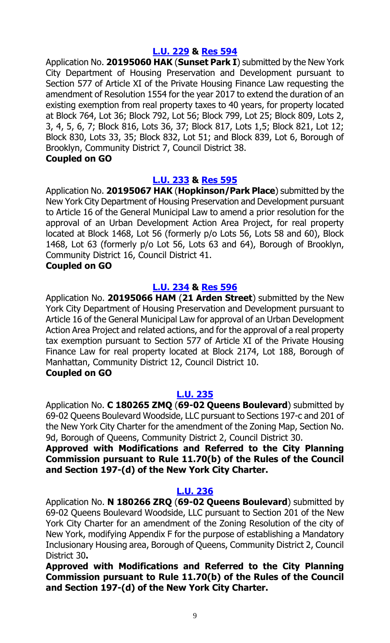## **[L.U. 229](https://legistar.council.nyc.gov/LegislationDetail.aspx?ID=3673522&GUID=7A0C74F7-9690-4B0B-AD7B-0B0B9F71C501&Options=&Search=) & [Res](https://legistar.council.nyc.gov/LegislationDetail.aspx?ID=3709647&GUID=0BCA0689-24A1-4DB6-86A6-8B787164D11E&Options=&Search=) 594**

Application No. **20195060 HAK** (**Sunset Park I**) submitted by the New York City Department of Housing Preservation and Development pursuant to Section 577 of Article XI of the Private Housing Finance Law requesting the amendment of Resolution 1554 for the year 2017 to extend the duration of an existing exemption from real property taxes to 40 years, for property located at Block 764, Lot 36; Block 792, Lot 56; Block 799, Lot 25; Block 809, Lots 2, 3, 4, 5, 6, 7; Block 816, Lots 36, 37; Block 817, Lots 1,5; Block 821, Lot 12; Block 830, Lots 33, 35; Block 832, Lot 51; and Block 839, Lot 6, Borough of Brooklyn, Community District 7, Council District 38.

## **Coupled on GO**

## **[L.U. 233](https://legistar.council.nyc.gov/LegislationDetail.aspx?ID=3685416&GUID=A2720310-6086-450A-AD5D-5A839F434F12&Options=&Search=) & [Res](https://legistar.council.nyc.gov/LegislationDetail.aspx?ID=3709648&GUID=B21A39D2-1FB3-47AD-9F58-96B093A1CE39&Options=&Search=) 595**

Application No. **20195067 HAK** (**Hopkinson/Park Place**) submitted by the New York City Department of Housing Preservation and Development pursuant to Article 16 of the General Municipal Law to amend a prior resolution for the approval of an Urban Development Action Area Project, for real property located at Block 1468, Lot 56 (formerly p/o Lots 56, Lots 58 and 60), Block 1468, Lot 63 (formerly p/o Lot 56, Lots 63 and 64), Borough of Brooklyn, Community District 16, Council District 41.

## **Coupled on GO**

## **[L.U. 234](https://legistar.council.nyc.gov/LegislationDetail.aspx?ID=3685417&GUID=F48DC367-168E-4845-AB8A-4340505278B9&Options=&Search=) & [Res](https://legistar.council.nyc.gov/LegislationDetail.aspx?ID=3709649&GUID=ACAC4B7A-93F1-41E7-8563-921042F96859&Options=&Search=) 596**

Application No. **20195066 HAM** (**21 Arden Street**) submitted by the New York City Department of Housing Preservation and Development pursuant to Article 16 of the General Municipal Law for approval of an Urban Development Action Area Project and related actions, and for the approval of a real property tax exemption pursuant to Section 577 of Article XI of the Private Housing Finance Law for real property located at Block 2174, Lot 188, Borough of Manhattan, Community District 12, Council District 10.

## **Coupled on GO**

## **[L.U. 235](https://legistar.council.nyc.gov/LegislationDetail.aspx?ID=3685411&GUID=681535AB-CF2D-42F8-9105-4C6588F7C0C2&Options=&Search=)**

Application No. **C 180265 ZMQ** (**69-02 Queens Boulevard**) submitted by 69-02 Queens Boulevard Woodside, LLC pursuant to Sections 197-c and 201 of the New York City Charter for the amendment of the Zoning Map, Section No. 9d, Borough of Queens, Community District 2, Council District 30.

**Approved with Modifications and Referred to the City Planning Commission pursuant to Rule 11.70(b) of the Rules of the Council and Section 197-(d) of the New York City Charter.**

## **[L.U. 236](https://legistar.council.nyc.gov/LegislationDetail.aspx?ID=3685412&GUID=CC903EE0-CC8A-4E79-AED6-E5E6BD8FA192&Options=&Search=)**

Application No. **N 180266 ZRQ** (**69-02 Queens Boulevard**) submitted by 69-02 Queens Boulevard Woodside, LLC pursuant to Section 201 of the New York City Charter for an amendment of the Zoning Resolution of the city of New York, modifying Appendix F for the purpose of establishing a Mandatory Inclusionary Housing area, Borough of Queens, Community District 2, Council District 30**.** 

**Approved with Modifications and Referred to the City Planning Commission pursuant to Rule 11.70(b) of the Rules of the Council and Section 197-(d) of the New York City Charter.**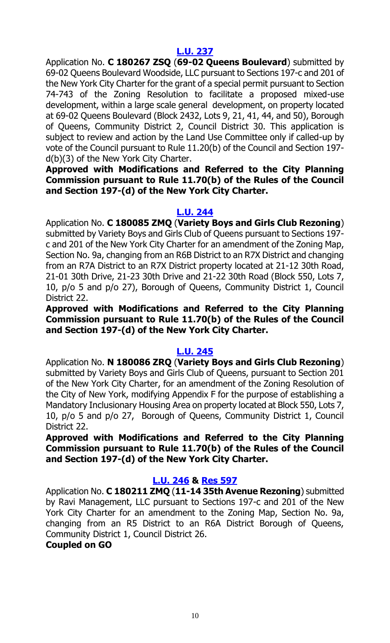Application No. **C 180267 ZSQ** (**69-02 Queens Boulevard**) submitted by 69-02 Queens Boulevard Woodside, LLC pursuant to Sections 197-c and 201 of the New York City Charter for the grant of a special permit pursuant to Section 74-743 of the Zoning Resolution to facilitate a proposed mixed-use development, within a large scale general development, on property located at 69-02 Queens Boulevard (Block 2432, Lots 9, 21, 41, 44, and 50), Borough of Queens, Community District 2, Council District 30. This application is subject to review and action by the Land Use Committee only if called-up by vote of the Council pursuant to Rule 11.20(b) of the Council and Section 197 d(b)(3) of the New York City Charter.

**Approved with Modifications and Referred to the City Planning Commission pursuant to Rule 11.70(b) of the Rules of the Council and Section 197-(d) of the New York City Charter.**

## **[L.U. 244](https://legistar.council.nyc.gov/LegislationDetail.aspx?ID=3691027&GUID=94259B58-F95A-408B-A33E-9B20BC1AE03F&Options=&Search=)**

Application No. **C 180085 ZMQ** (**Variety Boys and Girls Club Rezoning**) submitted by Variety Boys and Girls Club of Queens pursuant to Sections 197 c and 201 of the New York City Charter for an amendment of the Zoning Map, Section No. 9a, changing from an R6B District to an R7X District and changing from an R7A District to an R7X District property located at 21-12 30th Road, 21-01 30th Drive, 21-23 30th Drive and 21-22 30th Road (Block 550, Lots 7, 10, p/o 5 and p/o 27), Borough of Queens, Community District 1, Council District 22.

**Approved with Modifications and Referred to the City Planning Commission pursuant to Rule 11.70(b) of the Rules of the Council and Section 197-(d) of the New York City Charter.**

## **[L.U. 245](https://legistar.council.nyc.gov/LegislationDetail.aspx?ID=3691041&GUID=357287DC-19CD-4493-AB04-C82925DFCFA5&Options=&Search=)**

Application No. **N 180086 ZRQ** (**Variety Boys and Girls Club Rezoning**) submitted by Variety Boys and Girls Club of Queens, pursuant to Section 201 of the New York City Charter, for an amendment of the Zoning Resolution of the City of New York, modifying Appendix F for the purpose of establishing a Mandatory Inclusionary Housing Area on property located at Block 550, Lots 7, 10, p/o 5 and p/o 27, Borough of Queens, Community District 1, Council District 22.

**Approved with Modifications and Referred to the City Planning Commission pursuant to Rule 11.70(b) of the Rules of the Council and Section 197-(d) of the New York City Charter.**

## **[L.U. 246](https://legistar.council.nyc.gov/LegislationDetail.aspx?ID=3691042&GUID=EAA7D6EA-6364-4223-BAFB-56E4A983CBC5&Options=&Search=) & [Res](https://legistar.council.nyc.gov/LegislationDetail.aspx?ID=3709655&GUID=8A7ECCC6-1C55-448B-91C2-9BD4C35FE3E9&Options=&Search=) 597**

Application No. **C 180211 ZMQ** (**11-14 35th Avenue Rezoning**) submitted by Ravi Management, LLC pursuant to Sections 197-c and 201 of the New York City Charter for an amendment to the Zoning Map, Section No. 9a, changing from an R5 District to an R6A District Borough of Queens, Community District 1, Council District 26.

## **Coupled on GO**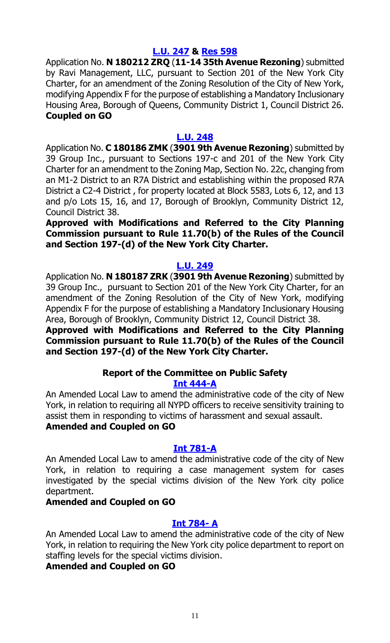## **[L.U. 247](https://legistar.council.nyc.gov/LegislationDetail.aspx?ID=3691062&GUID=1E56D446-ED4B-4475-A844-A65CDCDE0882&Options=&Search=) & [Res](https://legistar.council.nyc.gov/LegislationDetail.aspx?ID=3709656&GUID=5E1A7686-77FB-4861-8607-3BEAE83C0B76&Options=&Search=) 598**

Application No. **N 180212 ZRQ** (**11-14 35th Avenue Rezoning**) submitted by Ravi Management, LLC, pursuant to Section 201 of the New York City Charter, for an amendment of the Zoning Resolution of the City of New York, modifying Appendix F for the purpose of establishing a Mandatory Inclusionary Housing Area, Borough of Queens, Community District 1, Council District 26. **Coupled on GO**

#### **[L.U. 248](https://legistar.council.nyc.gov/LegislationDetail.aspx?ID=3691063&GUID=84EFDEA9-0525-4087-94DF-F35B40409292&Options=&Search=)**

Application No. **C 180186 ZMK** (**3901 9th Avenue Rezoning**) submitted by 39 Group Inc., pursuant to Sections 197-c and 201 of the New York City Charter for an amendment to the Zoning Map, Section No. 22c, changing from an M1-2 District to an R7A District and establishing within the proposed R7A District a C2-4 District , for property located at Block 5583, Lots 6, 12, and 13 and p/o Lots 15, 16, and 17, Borough of Brooklyn, Community District 12, Council District 38.

**Approved with Modifications and Referred to the City Planning Commission pursuant to Rule 11.70(b) of the Rules of the Council and Section 197-(d) of the New York City Charter.**

## **[L.U. 249](https://legistar.council.nyc.gov/LegislationDetail.aspx?ID=3691064&GUID=A765C6EC-3F28-4E05-8444-304972DDB11A&Options=&Search=)**

Application No. **N 180187 ZRK** (**3901 9th Avenue Rezoning**) submitted by 39 Group Inc., pursuant to Section 201 of the New York City Charter, for an amendment of the Zoning Resolution of the City of New York, modifying Appendix F for the purpose of establishing a Mandatory Inclusionary Housing Area, Borough of Brooklyn, Community District 12, Council District 38.

**Approved with Modifications and Referred to the City Planning Commission pursuant to Rule 11.70(b) of the Rules of the Council and Section 197-(d) of the New York City Charter.**

## **Report of the Committee on Public Safety [Int 444-A](https://legistar.council.nyc.gov/LegislationDetail.aspx?ID=3343743&GUID=281EF7A6-ACA5-4D1C-ABDF-C579B7D33FC8&Options=&Search=)**

An Amended Local Law to amend the administrative code of the city of New York, in relation to requiring all NYPD officers to receive sensitivity training to assist them in responding to victims of harassment and sexual assault.

## **Amended and Coupled on GO**

## **[Int 781-A](https://legistar.council.nyc.gov/LegislationDetail.aspx?ID=3464946&GUID=F0FDC8E0-A95E-4888-9407-94B676F79650&Options=&Search=)**

An Amended Local Law to amend the administrative code of the city of New York, in relation to requiring a case management system for cases investigated by the special victims division of the New York city police department.

## **Amended and Coupled on GO**

## **[Int 784-](https://legistar.council.nyc.gov/LegislationDetail.aspx?ID=3464948&GUID=3C0B5525-D34B-4281-9D0E-2012155C7ACC&Options=&Search=) A**

An Amended Local Law to amend the administrative code of the city of New York, in relation to requiring the New York city police department to report on staffing levels for the special victims division.

## **Amended and Coupled on GO**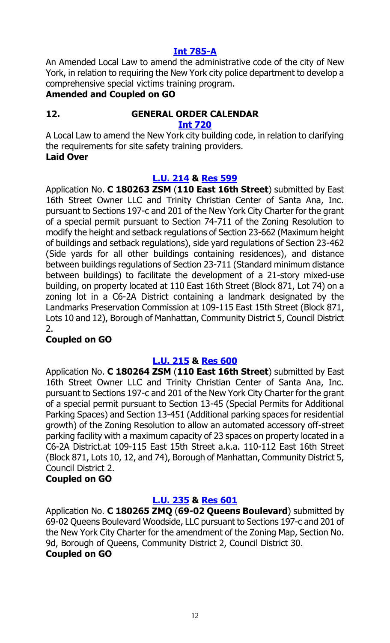## **[Int 785-A](https://legistar.council.nyc.gov/LegislationDetail.aspx?ID=3464947&GUID=ED11975D-0EAE-4DA0-8439-7D289E26114C&Options=&Search=)**

An Amended Local Law to amend the administrative code of the city of New York, in relation to requiring the New York city police department to develop a comprehensive special victims training program.

## **Amended and Coupled on GO**

## **12. GENERAL ORDER CALENDAR**

#### **[Int 720](https://legistar.council.nyc.gov/LegislationDetail.aspx?ID=3364140&GUID=4A00AE92-D940-431A-A3C6-0AA406BC41F1&Options=&Search=)**

A Local Law to amend the New York city building code, in relation to clarifying the requirements for site safety training providers. **Laid Over**

## **[L.U. 214](https://legistar.council.nyc.gov/LegislationDetail.aspx?ID=3673507&GUID=46A9D0CF-C203-47A9-A2B2-E460710AC9F5&Options=&Search=) & [Res](https://legistar.council.nyc.gov/LegislationDetail.aspx?ID=3709640&GUID=5F43C9EB-D196-44A9-BB72-766C272AEFB8&Options=&Search=) 599**

Application No. **C 180263 ZSM** (**110 East 16th Street**) submitted by East 16th Street Owner LLC and Trinity Christian Center of Santa Ana, Inc. pursuant to Sections 197-c and 201 of the New York City Charter for the grant of a special permit pursuant to Section 74-711 of the Zoning Resolution to modify the height and setback regulations of Section 23-662 (Maximum height of buildings and setback regulations), side yard regulations of Section 23-462 (Side yards for all other buildings containing residences), and distance between buildings regulations of Section 23-711 (Standard minimum distance between buildings) to facilitate the development of a 21-story mixed-use building, on property located at 110 East 16th Street (Block 871, Lot 74) on a zoning lot in a C6-2A District containing a landmark designated by the Landmarks Preservation Commission at 109-115 East 15th Street (Block 871, Lots 10 and 12), Borough of Manhattan, Community District 5, Council District 2.

## **Coupled on GO**

## **[L.U. 215](https://legistar.council.nyc.gov/LegislationDetail.aspx?ID=3673508&GUID=DBF1280E-A266-4C2B-9245-CD6BBD24D176&Options=&Search=) & [Res](https://legistar.council.nyc.gov/LegislationDetail.aspx?ID=3709641&GUID=E3233EF8-3DC6-41E9-A472-F564A7237CB2&Options=&Search=) 600**

Application No. **C 180264 ZSM** (**110 East 16th Street**) submitted by East 16th Street Owner LLC and Trinity Christian Center of Santa Ana, Inc. pursuant to Sections 197-c and 201 of the New York City Charter for the grant of a special permit pursuant to Section 13-45 (Special Permits for Additional Parking Spaces) and Section 13-451 (Additional parking spaces for residential growth) of the Zoning Resolution to allow an automated accessory off-street parking facility with a maximum capacity of 23 spaces on property located in a C6-2A District.at 109-115 East 15th Street a.k.a. 110-112 East 16th Street (Block 871, Lots 10, 12, and 74), Borough of Manhattan, Community District 5, Council District 2.

## **Coupled on GO**

## **[L.U. 235](https://legistar.council.nyc.gov/LegislationDetail.aspx?ID=3685411&GUID=681535AB-CF2D-42F8-9105-4C6588F7C0C2&Options=&Search=) & [Res](https://legistar.council.nyc.gov/LegislationDetail.aspx?ID=3709650&GUID=EC2B2D42-9EDF-43C6-AFFB-78C84B384867&Options=&Search=) 601**

Application No. **C 180265 ZMQ** (**69-02 Queens Boulevard**) submitted by 69-02 Queens Boulevard Woodside, LLC pursuant to Sections 197-c and 201 of the New York City Charter for the amendment of the Zoning Map, Section No. 9d, Borough of Queens, Community District 2, Council District 30. **Coupled on GO**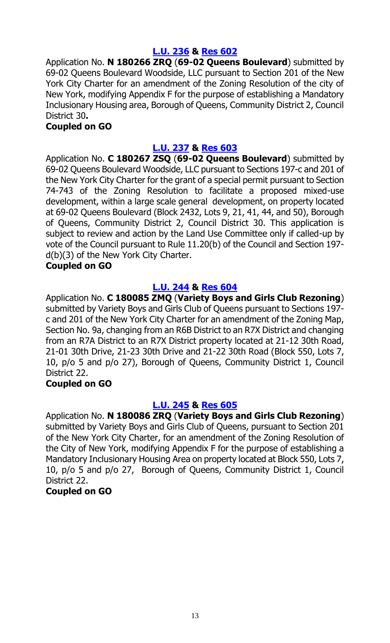## **[L.U. 236](https://legistar.council.nyc.gov/LegislationDetail.aspx?ID=3685412&GUID=CC903EE0-CC8A-4E79-AED6-E5E6BD8FA192&Options=&Search=) & [Res](https://legistar.council.nyc.gov/LegislationDetail.aspx?ID=3709651&GUID=0CD3EA88-BEC0-44D2-AE32-E184F8701D34&Options=&Search=) 602**

Application No. **N 180266 ZRQ** (**69-02 Queens Boulevard**) submitted by 69-02 Queens Boulevard Woodside, LLC pursuant to Section 201 of the New York City Charter for an amendment of the Zoning Resolution of the city of New York, modifying Appendix F for the purpose of establishing a Mandatory Inclusionary Housing area, Borough of Queens, Community District 2, Council District 30**.** 

## **Coupled on GO**

## **[L.U. 237](https://legistar.council.nyc.gov/LegislationDetail.aspx?ID=3685413&GUID=28F0E056-BDA3-4535-9029-78C19B7148B2&Options=&Search=) & [Res](https://legistar.council.nyc.gov/LegislationDetail.aspx?ID=3709652&GUID=8156566E-569B-4027-A963-210079D338BD&Options=&Search=) 603**

Application No. **C 180267 ZSQ** (**69-02 Queens Boulevard**) submitted by 69-02 Queens Boulevard Woodside, LLC pursuant to Sections 197-c and 201 of the New York City Charter for the grant of a special permit pursuant to Section 74-743 of the Zoning Resolution to facilitate a proposed mixed-use development, within a large scale general development, on property located at 69-02 Queens Boulevard (Block 2432, Lots 9, 21, 41, 44, and 50), Borough of Queens, Community District 2, Council District 30. This application is subject to review and action by the Land Use Committee only if called-up by vote of the Council pursuant to Rule 11.20(b) of the Council and Section 197 d(b)(3) of the New York City Charter.

## **Coupled on GO**

## **[L.U. 244](https://legistar.council.nyc.gov/LegislationDetail.aspx?ID=3691027&GUID=94259B58-F95A-408B-A33E-9B20BC1AE03F&Options=&Search=) & [Res](https://legistar.council.nyc.gov/LegislationDetail.aspx?ID=3709653&GUID=4117BA2C-F8EC-4472-B60C-DF94E0A4BE9D&Options=&Search=) 604**

Application No. **C 180085 ZMQ** (**Variety Boys and Girls Club Rezoning**) submitted by Variety Boys and Girls Club of Queens pursuant to Sections 197 c and 201 of the New York City Charter for an amendment of the Zoning Map, Section No. 9a, changing from an R6B District to an R7X District and changing from an R7A District to an R7X District property located at 21-12 30th Road, 21-01 30th Drive, 21-23 30th Drive and 21-22 30th Road (Block 550, Lots 7, 10, p/o 5 and p/o 27), Borough of Queens, Community District 1, Council District 22.

## **Coupled on GO**

## **[L.U. 245](https://legistar.council.nyc.gov/LegislationDetail.aspx?ID=3691041&GUID=357287DC-19CD-4493-AB04-C82925DFCFA5&Options=&Search=) & [Res](https://legistar.council.nyc.gov/LegislationDetail.aspx?ID=3709654&GUID=C24A146C-2A36-4B8C-AF12-AE06B8C3C7D2&Options=&Search=) 605**

Application No. **N 180086 ZRQ** (**Variety Boys and Girls Club Rezoning**) submitted by Variety Boys and Girls Club of Queens, pursuant to Section 201 of the New York City Charter, for an amendment of the Zoning Resolution of the City of New York, modifying Appendix F for the purpose of establishing a Mandatory Inclusionary Housing Area on property located at Block 550, Lots 7, 10, p/o 5 and p/o 27, Borough of Queens, Community District 1, Council District 22.

## **Coupled on GO**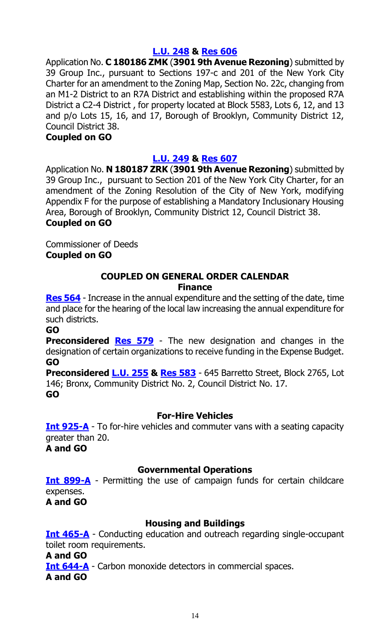## **[L.U. 248](https://legistar.council.nyc.gov/LegislationDetail.aspx?ID=3691063&GUID=84EFDEA9-0525-4087-94DF-F35B40409292&Options=&Search=) & [Res](https://legistar.council.nyc.gov/LegislationDetail.aspx?ID=3709657&GUID=339C2BC8-167E-4B14-B82B-8D561AA10CE4&Options=&Search=) 606**

Application No. **C 180186 ZMK** (**3901 9th Avenue Rezoning**) submitted by 39 Group Inc., pursuant to Sections 197-c and 201 of the New York City Charter for an amendment to the Zoning Map, Section No. 22c, changing from an M1-2 District to an R7A District and establishing within the proposed R7A District a C2-4 District , for property located at Block 5583, Lots 6, 12, and 13 and p/o Lots 15, 16, and 17, Borough of Brooklyn, Community District 12, Council District 38.

#### **Coupled on GO**

## **[L.U. 249](https://legistar.council.nyc.gov/LegislationDetail.aspx?ID=3691064&GUID=A765C6EC-3F28-4E05-8444-304972DDB11A&Options=&Search=) & [Res](https://legistar.council.nyc.gov/LegislationDetail.aspx?ID=3709658&GUID=73E59645-5D18-4449-99F3-507ADC4E3045&Options=&Search=) 607**

Application No. **N 180187 ZRK** (**3901 9th Avenue Rezoning**) submitted by 39 Group Inc., pursuant to Section 201 of the New York City Charter, for an amendment of the Zoning Resolution of the City of New York, modifying Appendix F for the purpose of establishing a Mandatory Inclusionary Housing Area, Borough of Brooklyn, Community District 12, Council District 38. **Coupled on GO**

Commissioner of Deeds **Coupled on GO**

#### **COUPLED ON GENERAL ORDER CALENDAR Finance**

**[Res 564](https://legistar.council.nyc.gov/LegislationDetail.aspx?ID=3704326&GUID=A3497C64-1E0E-4970-B850-61B67193FF7C&Options=&Search=)** - Increase in the annual expenditure and the setting of the date, time and place for the hearing of the local law increasing the annual expenditure for such districts.

**GO**

**Preconsidered [Res](https://legistar.council.nyc.gov/LegislationDetail.aspx?ID=3710644&GUID=6BF2BE3C-1A4A-4A3A-9C1D-4C756B250882&Options=&Search=) 579** - The new designation and changes in the designation of certain organizations to receive funding in the Expense Budget. **GO**

**Preconsidered [L.U.](https://legistar.council.nyc.gov/LegislationDetail.aspx?ID=3710645&GUID=CBC7E04C-49B8-4559-8D02-5A6A965D3AB3&Options=&Search=) 255 & [Res 583](https://legistar.council.nyc.gov/LegislationDetail.aspx?ID=3714037&GUID=2049CC01-2644-4B6A-986C-ED98CC4E4E91&Options=&Search=)** - 645 Barretto Street, Block 2765, Lot 146; Bronx, Community District No. 2, Council District No. 17. **GO**

## **For-Hire Vehicles**

**[Int 925-A](https://legistar.council.nyc.gov/LegislationDetail.aspx?ID=3498528&GUID=D90F1FD1-064E-40AD-BBCC-976DEBF0E0AF&Options=&Search=)** - To for-hire vehicles and commuter vans with a seating capacity greater than 20.

**A and GO**

## **Governmental Operations**

**[Int 899-A](https://legistar.council.nyc.gov/LegislationDetail.aspx?ID=3498515&GUID=9F3BDE23-EE5D-4A6F-ADB2-E546593F538B&Options=&Search=)** - Permitting the use of campaign funds for certain childcare expenses.

**A and GO**

## **Housing and Buildings**

**[Int 465-A](https://legistar.council.nyc.gov/LegislationDetail.aspx?ID=3343776&GUID=06B23DE4-0407-4947-9457-039015B1E132&Options=&Search=)** - Conducting education and outreach regarding single-occupant toilet room requirements.

**A and GO**

**[Int 644-A](https://legistar.council.nyc.gov/LegislationDetail.aspx?ID=3371438&GUID=128D0201-1AD4-4158-B4E6-C2FE9C99A3C1&Options=&Search=)** - Carbon monoxide detectors in commercial spaces.

**A and GO**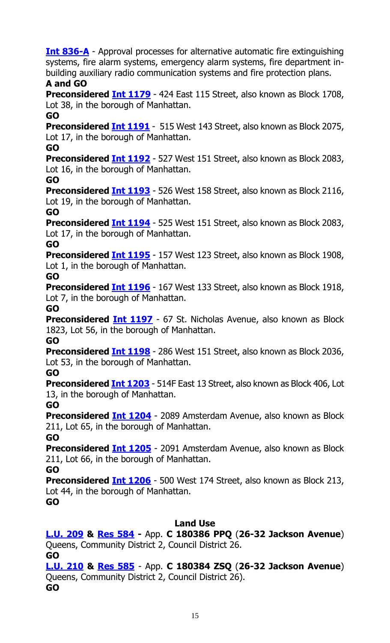**[Int 836-A](https://legistar.council.nyc.gov/LegislationDetail.aspx?ID=3486135&GUID=01E0DAB6-938C-48DC-B39B-A53F65E206A4&Options=&Search=)** - Approval processes for alternative automatic fire extinguishing systems, fire alarm systems, emergency alarm systems, fire department inbuilding auxiliary radio communication systems and fire protection plans.

## **A and GO**

**Preconsidered Int [1179](https://legistar.council.nyc.gov/LegislationDetail.aspx?ID=3713567&GUID=14E423DE-C065-4ADF-8BD8-AD0C488429E4&Options=&Search=)** - 424 East 115 Street, also known as Block 1708, Lot 38, in the borough of Manhattan.

**GO**

**Preconsidered Int [1191](https://legistar.council.nyc.gov/LegislationDetail.aspx?ID=3713568&GUID=6767563C-FBC4-4747-8227-B7A5C6FCB459&Options=&Search=)** - 515 West 143 Street, also known as Block 2075, Lot 17, in the borough of Manhattan.

**GO**

**Preconsidered [Int 1192](https://legistar.council.nyc.gov/LegislationDetail.aspx?ID=3713569&GUID=EA4E5CF0-2F66-438B-B4A0-405588FB78C3&Options=&Search=)** - 527 West 151 Street, also known as Block 2083, Lot 16, in the borough of Manhattan.

**GO**

**Preconsidered <b>Int 1193** - 526 West 158 Street, also known as Block 2116, Lot 19, in the borough of Manhattan.

## **GO**

**Preconsidered Int [1194](https://legistar.council.nyc.gov/LegislationDetail.aspx?ID=3713579&GUID=2D393802-59DE-46C5-9602-363D12F6BDDE&Options=&Search=)** - 525 West 151 Street, also known as Block 2083, Lot 17, in the borough of Manhattan.

**GO**

**Preconsidered Int [1195](https://legistar.council.nyc.gov/LegislationDetail.aspx?ID=3713571&GUID=8DD0FDC6-16F7-4E5F-93B4-4FB2855CFD42&Options=&Search=)** - 157 West 123 Street, also known as Block 1908, Lot 1, in the borough of Manhattan.

**GO**

**Preconsidered Int [1196](https://legistar.council.nyc.gov/LegislationDetail.aspx?ID=3713572&GUID=CE9CC12C-DA63-4DC3-9C15-9D702A6035E4&Options=&Search=)** - 167 West 133 Street, also known as Block 1918, Lot 7, in the borough of Manhattan.

**GO**

**Preconsidered Int [1197](https://legistar.council.nyc.gov/LegislationDetail.aspx?ID=3713573&GUID=34F83E45-F3B4-4D74-9CE1-1CC76EBDBE1C&Options=&Search=)** - 67 St. Nicholas Avenue, also known as Block 1823, Lot 56, in the borough of Manhattan.

**GO**

**Preconsidered Int [1198](https://legistar.council.nyc.gov/LegislationDetail.aspx?ID=3713574&GUID=54FBF518-58D2-4714-9084-B0DCA30B08FE&Options=&Search=)** - 286 West 151 Street, also known as Block 2036, Lot 53, in the borough of Manhattan.

**GO**

**Preconsidered Int [1203](https://legistar.council.nyc.gov/LegislationDetail.aspx?ID=3713575&GUID=18985B38-B485-4815-90C8-08EF637F49A5&Options=&Search=)** - 514F East 13 Street, also known as Block 406, Lot 13, in the borough of Manhattan.

**GO**

**Preconsidered Int [1204](https://legistar.council.nyc.gov/LegislationDetail.aspx?ID=3713576&GUID=D061F090-2D55-4AFE-B97D-741DE2B96890&Options=&Search=)** - 2089 Amsterdam Avenue, also known as Block 211, Lot 65, in the borough of Manhattan.

**GO**

**Preconsidered Int [1205](https://legistar.council.nyc.gov/LegislationDetail.aspx?ID=3713577&GUID=617A3C87-3C90-4F13-B98B-35A52491684D&Options=&Search=)** - 2091 Amsterdam Avenue, also known as Block 211, Lot 66, in the borough of Manhattan.

**GO**

**Preconsidered Int [1206](https://legistar.council.nyc.gov/LegislationDetail.aspx?ID=3713578&GUID=A4A7B595-4F46-410B-90F6-D9C2C6AA966C&Options=&Search=)** - 500 West 174 Street, also known as Block 213, Lot 44, in the borough of Manhattan.

**GO**

## **Land Use**

**[L.U. 209](https://legistar.council.nyc.gov/LegislationDetail.aspx?ID=3673476&GUID=23DEDAB3-A9ED-4BF7-A674-31DCEA43E6F8&Options=&Search=) & [Res](https://legistar.council.nyc.gov/LegislationDetail.aspx?ID=3709635&GUID=47E51737-FA2A-47B0-8352-48361673F09B&Options=&Search=) 584 -** App. **C 180386 PPQ** (**26-32 Jackson Avenue**) Queens, Community District 2, Council District 26. **GO**

**[L.U. 210](https://legistar.council.nyc.gov/LegislationDetail.aspx?ID=3673477&GUID=7DBCB0A3-2F23-4158-B885-ADCE93FC2214&Options=&Search=) & [Res](https://legistar.council.nyc.gov/LegislationDetail.aspx?ID=3709636&GUID=6B542456-3D4D-412A-BFBD-83444E94777B&Options=&Search=) 585** - App. **C 180384 ZSQ** (**26-32 Jackson Avenue**) Queens, Community District 2, Council District 26). **GO**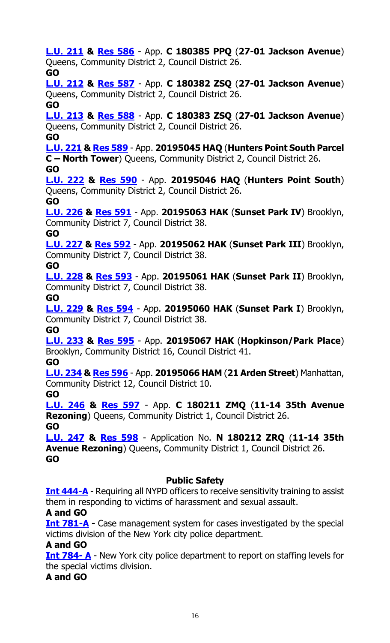**[L.U. 211](https://legistar.council.nyc.gov/LegislationDetail.aspx?ID=3673504&GUID=DCA76EA7-B51A-4363-A177-7386E425CBD7&Options=&Search=) & [Res](https://legistar.council.nyc.gov/LegislationDetail.aspx?ID=3709637&GUID=8E75983B-7C33-4FEB-ADFD-2906BEE79108&Options=&Search=) 586** - App. **C 180385 PPQ** (**27-01 Jackson Avenue**) Queens, Community District 2, Council District 26. **GO [L.U. 212](https://legistar.council.nyc.gov/LegislationDetail.aspx?ID=3673505&GUID=FB1BAA9C-1F7F-4A70-A7CF-F0025DC525E9&Options=&Search=) & [Res](https://legistar.council.nyc.gov/LegislationDetail.aspx?ID=3709638&GUID=24EB84CF-572C-4254-9FD5-D7C60C188752&Options=&Search=) 587** - App. **C 180382 ZSQ** (**27-01 Jackson Avenue**) Queens, Community District 2, Council District 26. **GO [L.U. 213](https://legistar.council.nyc.gov/LegislationDetail.aspx?ID=3673506&GUID=BD60BF85-D3FE-41F8-ACD7-6C1AA765E871&Options=&Search=) & [Res](https://legistar.council.nyc.gov/LegislationDetail.aspx?ID=3709639&GUID=E0E31A7B-9DE9-43BB-AF1A-D93DB8BC063D&Options=&Search=) 588** - App. **C 180383 ZSQ** (**27-01 Jackson Avenue**) Queens, Community District 2, Council District 26. **GO [L.U. 221](https://legistar.council.nyc.gov/LegislationDetail.aspx?ID=3673514&GUID=DC35DB64-4FE8-44AD-85DD-C021A1B34B55&Options=&Search=) & [Res](https://legistar.council.nyc.gov/LegislationDetail.aspx?ID=3709642&GUID=1941100E-2A69-4E0F-9ADC-7C4A1D5F00C7&Options=&Search=) 589** - App. **20195045 HAQ** (**Hunters Point South Parcel C – North Tower**) Queens, Community District 2, Council District 26. **GO [L.U. 222](https://legistar.council.nyc.gov/LegislationDetail.aspx?ID=3673515&GUID=6F368358-33E3-4FAB-A3D6-70654D3A9300&Options=&Search=) & [Res](https://legistar.council.nyc.gov/LegislationDetail.aspx?ID=3709643&GUID=F5360227-37CF-4EF9-BD8C-C63ECF497C08&Options=&Search=) 590** - App. **20195046 HAQ** (**Hunters Point South**) Queens, Community District 2, Council District 26. **GO [L.U. 226](https://legistar.council.nyc.gov/LegislationDetail.aspx?ID=3673519&GUID=94315EE2-F91D-4790-982B-BE93981D12EB&Options=&Search=) & [Res](https://legistar.council.nyc.gov/LegislationDetail.aspx?ID=3709644&GUID=9CF8F721-1EEE-4C6B-94B6-B6D098EF4249&Options=&Search=) 591** - App. **20195063 HAK** (**Sunset Park IV**) Brooklyn, Community District 7, Council District 38. **GO [L.U. 227](https://legistar.council.nyc.gov/LegislationDetail.aspx?ID=3673520&GUID=7A6EDFDE-9F87-4A1D-ADB3-C50886218FC5&Options=&Search=) & [Res](https://legistar.council.nyc.gov/LegislationDetail.aspx?ID=3709645&GUID=D7265BCB-243B-4E9A-9AC7-60A4A08E60D9&Options=&Search=) 592** - App. **20195062 HAK** (**Sunset Park III**) Brooklyn, Community District 7, Council District 38. **GO [L.U. 228](https://legistar.council.nyc.gov/LegislationDetail.aspx?ID=3673521&GUID=CBF7453B-BE52-4AF2-BC07-739AC15BBD63&Options=&Search=) & [Res](https://legistar.council.nyc.gov/LegislationDetail.aspx?ID=3709646&GUID=029CC558-C01C-491A-AB9B-B8EF4D65574C&Options=&Search=) 593** - App. **20195061 HAK** (**Sunset Park II**) Brooklyn, Community District 7, Council District 38. **GO [L.U. 229](https://legistar.council.nyc.gov/LegislationDetail.aspx?ID=3673522&GUID=7A0C74F7-9690-4B0B-AD7B-0B0B9F71C501&Options=&Search=) & [Res](https://legistar.council.nyc.gov/LegislationDetail.aspx?ID=3709647&GUID=0BCA0689-24A1-4DB6-86A6-8B787164D11E&Options=&Search=) 594** - App. **20195060 HAK** (**Sunset Park I**) Brooklyn, Community District 7, Council District 38. **GO [L.U. 233](https://legistar.council.nyc.gov/LegislationDetail.aspx?ID=3685416&GUID=A2720310-6086-450A-AD5D-5A839F434F12&Options=&Search=) & [Res](https://legistar.council.nyc.gov/LegislationDetail.aspx?ID=3709648&GUID=B21A39D2-1FB3-47AD-9F58-96B093A1CE39&Options=&Search=) 595** - App. **20195067 HAK** (**Hopkinson/Park Place**) Brooklyn, Community District 16, Council District 41. **GO [L.U. 234](https://legistar.council.nyc.gov/LegislationDetail.aspx?ID=3685417&GUID=F48DC367-168E-4845-AB8A-4340505278B9&Options=&Search=) & [Res](https://legistar.council.nyc.gov/LegislationDetail.aspx?ID=3709649&GUID=ACAC4B7A-93F1-41E7-8563-921042F96859&Options=&Search=) 596** - App. **20195066 HAM** (**21 Arden Street**) Manhattan, Community District 12, Council District 10. **GO [L.U. 246](https://legistar.council.nyc.gov/LegislationDetail.aspx?ID=3691042&GUID=EAA7D6EA-6364-4223-BAFB-56E4A983CBC5&Options=&Search=) & [Res](https://legistar.council.nyc.gov/LegislationDetail.aspx?ID=3709655&GUID=8A7ECCC6-1C55-448B-91C2-9BD4C35FE3E9&Options=&Search=) 597** - App. **C 180211 ZMQ** (**11-14 35th Avenue Rezoning**) Queens, Community District 1, Council District 26. **GO [L.U. 247](https://legistar.council.nyc.gov/LegislationDetail.aspx?ID=3691062&GUID=1E56D446-ED4B-4475-A844-A65CDCDE0882&Options=&Search=) & [Res](https://legistar.council.nyc.gov/LegislationDetail.aspx?ID=3709656&GUID=5E1A7686-77FB-4861-8607-3BEAE83C0B76&Options=&Search=) 598** - Application No. **N 180212 ZRQ** (**11-14 35th Avenue Rezoning**) Queens, Community District 1, Council District 26. **GO Public Safety [Int 444-A](https://legistar.council.nyc.gov/LegislationDetail.aspx?ID=3343743&GUID=281EF7A6-ACA5-4D1C-ABDF-C579B7D33FC8&Options=&Search=)** - Requiring all NYPD officers to receive sensitivity training to assist them in responding to victims of harassment and sexual assault. **A and GO [Int 781-A](https://legistar.council.nyc.gov/LegislationDetail.aspx?ID=3464946&GUID=F0FDC8E0-A95E-4888-9407-94B676F79650&Options=&Search=)** - Case management system for cases investigated by the special victims division of the New York city police department.

## **A and GO**

**[Int 784-](https://legistar.council.nyc.gov/LegislationDetail.aspx?ID=3464948&GUID=3C0B5525-D34B-4281-9D0E-2012155C7ACC&Options=&Search=) A** - New York city police department to report on staffing levels for the special victims division.

## **A and GO**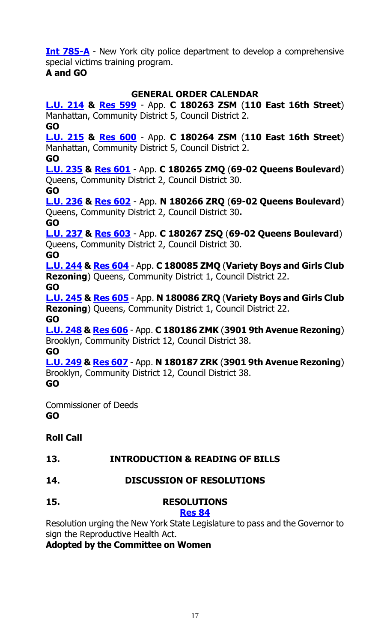**[Int 785-A](https://legistar.council.nyc.gov/LegislationDetail.aspx?ID=3464947&GUID=ED11975D-0EAE-4DA0-8439-7D289E26114C&Options=&Search=)** - New York city police department to develop a comprehensive special victims training program.

## **A and GO**

## **GENERAL ORDER CALENDAR**

**[L.U. 214](https://legistar.council.nyc.gov/LegislationDetail.aspx?ID=3673507&GUID=46A9D0CF-C203-47A9-A2B2-E460710AC9F5&Options=&Search=) & [Res 599](https://legistar.council.nyc.gov/LegislationDetail.aspx?ID=3709640&GUID=5F43C9EB-D196-44A9-BB72-766C272AEFB8&Options=&Search=)** - App. **C 180263 ZSM** (**110 East 16th Street**) Manhattan, Community District 5, Council District 2. **GO [L.U. 215](https://legistar.council.nyc.gov/LegislationDetail.aspx?ID=3673508&GUID=DBF1280E-A266-4C2B-9245-CD6BBD24D176&Options=&Search=) & [Res](https://legistar.council.nyc.gov/LegislationDetail.aspx?ID=3709641&GUID=E3233EF8-3DC6-41E9-A472-F564A7237CB2&Options=&Search=) 600** - App. **C 180264 ZSM** (**110 East 16th Street**) Manhattan, Community District 5, Council District 2. **GO [L.U. 235](https://legistar.council.nyc.gov/LegislationDetail.aspx?ID=3685411&GUID=681535AB-CF2D-42F8-9105-4C6588F7C0C2&Options=&Search=) & [Res](https://legistar.council.nyc.gov/LegislationDetail.aspx?ID=3709650&GUID=EC2B2D42-9EDF-43C6-AFFB-78C84B384867&Options=&Search=) 601** - App. **C 180265 ZMQ** (**69-02 Queens Boulevard**) Queens, Community District 2, Council District 30. **GO [L.U. 236](https://legistar.council.nyc.gov/LegislationDetail.aspx?ID=3685412&GUID=CC903EE0-CC8A-4E79-AED6-E5E6BD8FA192&Options=&Search=) & [Res](https://legistar.council.nyc.gov/LegislationDetail.aspx?ID=3709651&GUID=0CD3EA88-BEC0-44D2-AE32-E184F8701D34&Options=&Search=) 602** - App. **N 180266 ZRQ** (**69-02 Queens Boulevard**) Queens, Community District 2, Council District 30**. GO [L.U. 237](https://legistar.council.nyc.gov/LegislationDetail.aspx?ID=3685413&GUID=28F0E056-BDA3-4535-9029-78C19B7148B2&Options=&Search=) & [Res](https://legistar.council.nyc.gov/LegislationDetail.aspx?ID=3709652&GUID=8156566E-569B-4027-A963-210079D338BD&Options=&Search=) 603** - App. **C 180267 ZSQ** (**69-02 Queens Boulevard**) Queens, Community District 2, Council District 30. **GO [L.U. 244](https://legistar.council.nyc.gov/LegislationDetail.aspx?ID=3691027&GUID=94259B58-F95A-408B-A33E-9B20BC1AE03F&Options=&Search=) & [Res](https://legistar.council.nyc.gov/LegislationDetail.aspx?ID=3709653&GUID=4117BA2C-F8EC-4472-B60C-DF94E0A4BE9D&Options=&Search=) 604** - App. **C 180085 ZMQ** (**Variety Boys and Girls Club Rezoning**) Queens, Community District 1, Council District 22. **GO [L.U. 245](https://legistar.council.nyc.gov/LegislationDetail.aspx?ID=3691041&GUID=357287DC-19CD-4493-AB04-C82925DFCFA5&Options=&Search=) & [Res](https://legistar.council.nyc.gov/LegislationDetail.aspx?ID=3709654&GUID=C24A146C-2A36-4B8C-AF12-AE06B8C3C7D2&Options=&Search=) 605** - App. **N 180086 ZRQ** (**Variety Boys and Girls Club Rezoning**) Queens, Community District 1, Council District 22. **GO [L.U. 248](https://legistar.council.nyc.gov/LegislationDetail.aspx?ID=3691063&GUID=84EFDEA9-0525-4087-94DF-F35B40409292&Options=&Search=) & [Res](https://legistar.council.nyc.gov/LegislationDetail.aspx?ID=3709657&GUID=339C2BC8-167E-4B14-B82B-8D561AA10CE4&Options=&Search=) 606** - App. **C 180186 ZMK** (**3901 9th Avenue Rezoning**) Brooklyn, Community District 12, Council District 38. **GO [L.U. 249](https://legistar.council.nyc.gov/LegislationDetail.aspx?ID=3691064&GUID=A765C6EC-3F28-4E05-8444-304972DDB11A&Options=&Search=) & [Res](https://legistar.council.nyc.gov/LegislationDetail.aspx?ID=3709658&GUID=73E59645-5D18-4449-99F3-507ADC4E3045&Options=&Search=) 607** - App. **N 180187 ZRK** (**3901 9th Avenue Rezoning**) Brooklyn, Community District 12, Council District 38. **GO**

Commissioner of Deeds **GO**

## **Roll Call**

## **13. INTRODUCTION & READING OF BILLS**

- **14. DISCUSSION OF RESOLUTIONS**
- **15. RESOLUTIONS**

## **[Res 84](https://legistar.council.nyc.gov/LegislationDetail.aspx?ID=3332060&GUID=0EE9FE40-2E52-4AA8-9686-44B0822C309D&Options=&Search=)**

Resolution urging the New York State Legislature to pass and the Governor to sign the Reproductive Health Act.

## **Adopted by the Committee on Women**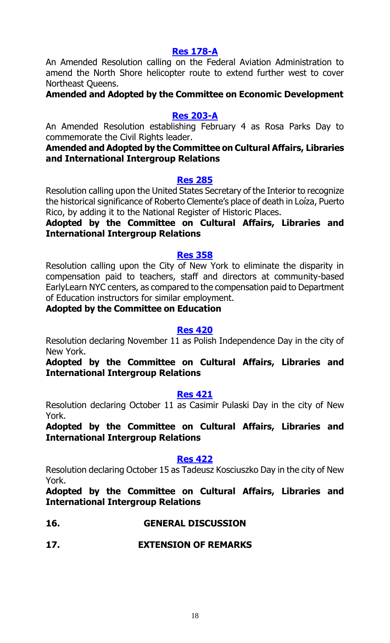## **[Res 178-A](https://legistar.council.nyc.gov/LegislationDetail.aspx?ID=3344040&GUID=715292B8-C4E2-41B8-8B9E-6A1D9D160BFA&Options=&Search=)**

An Amended Resolution calling on the Federal Aviation Administration to amend the North Shore helicopter route to extend further west to cover Northeast Queens.

**Amended and Adopted by the Committee on Economic Development**

#### **Res [203-A](https://legistar.council.nyc.gov/LegislationDetail.aspx?ID=3371465&GUID=66A56170-07FF-40E5-8418-48B89B68C817&Options=&Search=)**

An Amended Resolution establishing February 4 as Rosa Parks Day to commemorate the Civil Rights leader.

## **Amended and Adopted by the Committee on Cultural Affairs, Libraries and International Intergroup Relations**

#### **[Res 285](https://legistar.council.nyc.gov/LegislationDetail.aspx?ID=3474249&GUID=27198C81-C58B-4684-917C-AB8B5B7F01E3&Options=&Search=)**

Resolution calling upon the United States Secretary of the Interior to recognize the historical significance of Roberto Clemente's place of death in Loíza, Puerto Rico, by adding it to the National Register of Historic Places.

## **Adopted by the Committee on Cultural Affairs, Libraries and International Intergroup Relations**

#### **[Res 358](https://legistar.council.nyc.gov/LegislationDetail.aspx?ID=3509896&GUID=56E3F2BC-A88E-4E99-921A-265203357BB7&Options=&Search=)**

Resolution calling upon the City of New York to eliminate the disparity in compensation paid to teachers, staff and directors at community-based EarlyLearn NYC centers, as compared to the compensation paid to Department of Education instructors for similar employment.

#### **Adopted by the Committee on Education**

#### **[Res 420](https://legistar.council.nyc.gov/LegislationDetail.aspx?ID=3541090&GUID=16547039-2AA1-41CD-9D0C-8BFA102D11CE&Options=&Search=)**

Resolution declaring November 11 as Polish Independence Day in the city of New York.

**Adopted by the Committee on Cultural Affairs, Libraries and International Intergroup Relations**

#### **[Res 421](https://legistar.council.nyc.gov/LegislationDetail.aspx?ID=3541088&GUID=74870ABB-8D32-467A-AF7D-56A866EE3A5F&Options=&Search=)**

Resolution declaring October 11 as Casimir Pulaski Day in the city of New York.

**Adopted by the Committee on Cultural Affairs, Libraries and International Intergroup Relations**

## **[Res 422](https://legistar.council.nyc.gov/LegislationDetail.aspx?ID=3541089&GUID=9B9372FF-38EF-43DC-88B1-12EC8BB88C45&Options=&Search=)**

Resolution declaring October 15 as Tadeusz Kosciuszko Day in the city of New York.

**Adopted by the Committee on Cultural Affairs, Libraries and International Intergroup Relations**

## **16. GENERAL DISCUSSION**

## **17. EXTENSION OF REMARKS**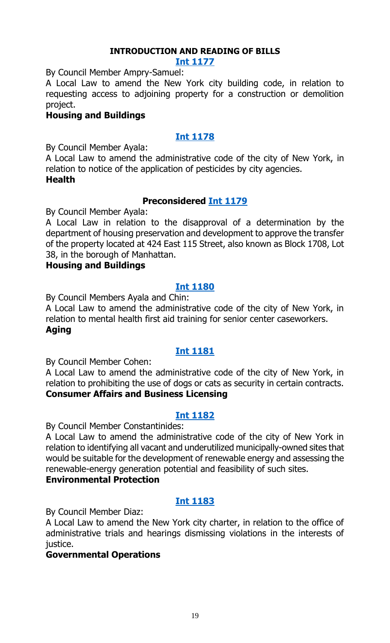## **INTRODUCTION AND READING OF BILLS**

#### **[Int 1177](https://legistar.council.nyc.gov/LegislationDetail.aspx?ID=3713969&GUID=9F1BE334-6354-4760-9860-C810B3863DD8&Options=ID%7c&Search=)**

By Council Member Ampry-Samuel:

A Local Law to amend the New York city building code, in relation to requesting access to adjoining property for a construction or demolition project.

#### **Housing and Buildings**

## **[Int 1178](https://legistar.council.nyc.gov/LegislationDetail.aspx?ID=3713957&GUID=F63C257B-E529-40E9-9F57-6FCE6E50992D&Options=ID|&Search=)**

By Council Member Ayala:

A Local Law to amend the administrative code of the city of New York, in relation to notice of the application of pesticides by city agencies. **Health**

## **Preconsidered [Int 1179](https://legistar.council.nyc.gov/LegislationDetail.aspx?ID=3713567&GUID=14E423DE-C065-4ADF-8BD8-AD0C488429E4&Options=ID|&Search=)**

By Council Member Ayala:

A Local Law in relation to the disapproval of a determination by the department of housing preservation and development to approve the transfer of the property located at 424 East 115 Street, also known as Block 1708, Lot 38, in the borough of Manhattan.

## **Housing and Buildings**

## **[Int 1180](https://legistar.council.nyc.gov/LegislationDetail.aspx?ID=3713958&GUID=7AC49EC1-83C2-4FD6-98C8-C1938CFBAAAC&Options=ID|&Search=)**

By Council Members Ayala and Chin:

A Local Law to amend the administrative code of the city of New York, in relation to mental health first aid training for senior center caseworkers. **Aging**

## **[Int 1181](https://legistar.council.nyc.gov/LegislationDetail.aspx?ID=3713956&GUID=1213699F-A776-4EC7-9B04-89AFCC45EA8D&Options=ID|&Search=)**

By Council Member Cohen:

A Local Law to amend the administrative code of the city of New York, in relation to prohibiting the use of dogs or cats as security in certain contracts. **Consumer Affairs and Business Licensing**

## **[Int 1182](https://legistar.council.nyc.gov/LegislationDetail.aspx?ID=3713965&GUID=A255CBAC-7D52-4A05-A21B-CADFCD7B9192&Options=ID|&Search=)**

By Council Member Constantinides:

A Local Law to amend the administrative code of the city of New York in relation to identifying all vacant and underutilized municipally-owned sites that would be suitable for the development of renewable energy and assessing the renewable-energy generation potential and feasibility of such sites.

## **Environmental Protection**

## **[Int 1183](https://legistar.council.nyc.gov/LegislationDetail.aspx?ID=3713962&GUID=EA636CB5-7751-4518-BF9D-2EBC84280737&Options=ID|&Search=)**

By Council Member Diaz:

A Local Law to amend the New York city charter, in relation to the office of administrative trials and hearings dismissing violations in the interests of justice.

## **Governmental Operations**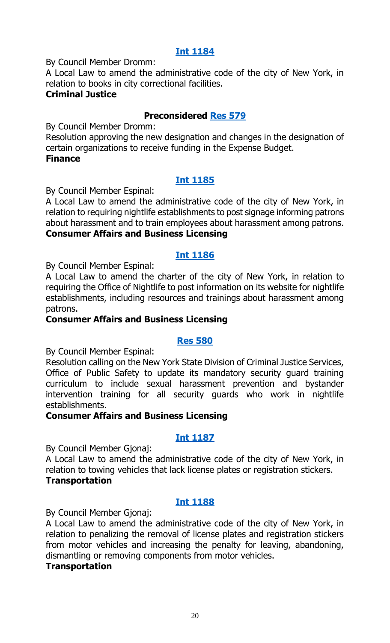## **[Int 1184](https://legistar.council.nyc.gov/LegislationDetail.aspx?ID=3713959&GUID=AD2BED8A-3380-476D-B9FD-78C321F2A5CB&Options=ID|&Search=)**

By Council Member Dromm:

A Local Law to amend the administrative code of the city of New York, in relation to books in city correctional facilities.

## **Criminal Justice**

## **Preconsidered [Res 579](https://legistar.council.nyc.gov/LegislationDetail.aspx?ID=3710644&GUID=6BF2BE3C-1A4A-4A3A-9C1D-4C756B250882&Options=ID%7c&Search=)**

By Council Member Dromm:

Resolution approving the new designation and changes in the designation of certain organizations to receive funding in the Expense Budget. **Finance**

## **[Int 1185](https://legistar.council.nyc.gov/LegislationDetail.aspx?ID=3712930&GUID=C3B7720D-46C8-436D-8955-DD93CB791CF5&Options=ID|&Search=)**

By Council Member Espinal:

A Local Law to amend the administrative code of the city of New York, in relation to requiring nightlife establishments to post signage informing patrons about harassment and to train employees about harassment among patrons. **Consumer Affairs and Business Licensing**

## **[Int 1186](https://legistar.council.nyc.gov/LegislationDetail.aspx?ID=3712931&GUID=CDD567F8-E317-4971-B281-C8A0DE8FA60E&Options=ID|&Search=)**

By Council Member Espinal:

A Local Law to amend the charter of the city of New York, in relation to requiring the Office of Nightlife to post information on its website for nightlife establishments, including resources and trainings about harassment among patrons.

## **Consumer Affairs and Business Licensing**

## **[Res 580](https://legistar.council.nyc.gov/LegislationDetail.aspx?ID=3712929&GUID=4D63718B-B59C-40A2-9510-C9FD79B1AD37&Options=ID|&Search=)**

By Council Member Espinal:

Resolution calling on the New York State Division of Criminal Justice Services, Office of Public Safety to update its mandatory security guard training curriculum to include sexual harassment prevention and bystander intervention training for all security guards who work in nightlife establishments.

## **Consumer Affairs and Business Licensing**

## **[Int 1187](https://legistar.council.nyc.gov/LegislationDetail.aspx?ID=3713968&GUID=E64110EB-1391-4552-A986-94F475BE6891&Options=ID|&Search=)**

By Council Member Gjonaj:

A Local Law to amend the administrative code of the city of New York, in relation to towing vehicles that lack license plates or registration stickers. **Transportation**

## **[Int 1188](https://legistar.council.nyc.gov/LegislationDetail.aspx?ID=3713955&GUID=53F9C7D5-9958-4D53-B5FE-B0307C7FA895&Options=ID|&Search=)**

By Council Member Gjonaj:

A Local Law to amend the administrative code of the city of New York, in relation to penalizing the removal of license plates and registration stickers from motor vehicles and increasing the penalty for leaving, abandoning, dismantling or removing components from motor vehicles.

#### **Transportation**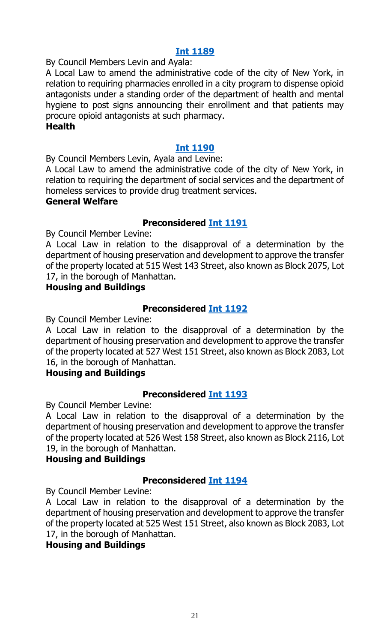## **[Int 1189](https://legistar.council.nyc.gov/LegislationDetail.aspx?ID=3713953&GUID=42256393-BE66-4F41-BB76-090737C44171&Options=ID|&Search=)**

By Council Members Levin and Ayala:

A Local Law to amend the administrative code of the city of New York, in relation to requiring pharmacies enrolled in a city program to dispense opioid antagonists under a standing order of the department of health and mental hygiene to post signs announcing their enrollment and that patients may procure opioid antagonists at such pharmacy.

#### **Health**

## **[Int 1190](https://legistar.council.nyc.gov/LegislationDetail.aspx?ID=3713954&GUID=9F9E8108-C5CF-4397-A772-FCB7E11B798B&Options=ID|&Search=)**

By Council Members Levin, Ayala and Levine:

A Local Law to amend the administrative code of the city of New York, in relation to requiring the department of social services and the department of homeless services to provide drug treatment services.

#### **General Welfare**

## **Preconsidered [Int 1191](https://legistar.council.nyc.gov/LegislationDetail.aspx?ID=3713568&GUID=6767563C-FBC4-4747-8227-B7A5C6FCB459&Options=ID|&Search=)**

By Council Member Levine:

A Local Law in relation to the disapproval of a determination by the department of housing preservation and development to approve the transfer of the property located at 515 West 143 Street, also known as Block 2075, Lot 17, in the borough of Manhattan.

#### **Housing and Buildings**

## **Preconsidered [Int 1192](https://legistar.council.nyc.gov/LegislationDetail.aspx?ID=3713569&GUID=EA4E5CF0-2F66-438B-B4A0-405588FB78C3&Options=ID|&Search=)**

By Council Member Levine:

A Local Law in relation to the disapproval of a determination by the department of housing preservation and development to approve the transfer of the property located at 527 West 151 Street, also known as Block 2083, Lot 16, in the borough of Manhattan.

## **Housing and Buildings**

## **Preconsidered [Int 1193](https://legistar.council.nyc.gov/LegislationDetail.aspx?ID=3713570&GUID=7D7655DE-2272-446C-BBC8-5A23EF2ACB64&Options=ID|&Search=)**

By Council Member Levine:

A Local Law in relation to the disapproval of a determination by the department of housing preservation and development to approve the transfer of the property located at 526 West 158 Street, also known as Block 2116, Lot 19, in the borough of Manhattan.

## **Housing and Buildings**

## **Preconsidered [Int 1194](https://legistar.council.nyc.gov/LegislationDetail.aspx?ID=3713579&GUID=2D393802-59DE-46C5-9602-363D12F6BDDE&Options=ID|&Search=)**

By Council Member Levine:

A Local Law in relation to the disapproval of a determination by the department of housing preservation and development to approve the transfer of the property located at 525 West 151 Street, also known as Block 2083, Lot 17, in the borough of Manhattan.

## **Housing and Buildings**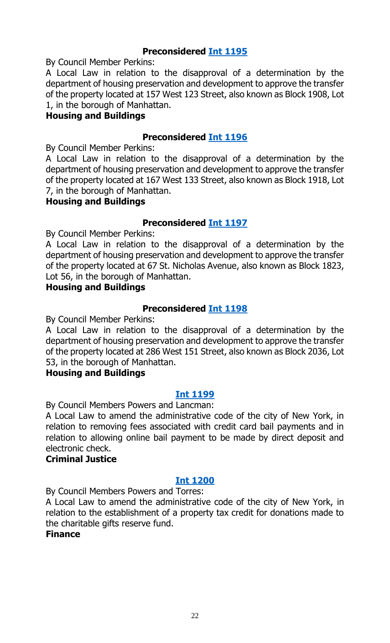## **Preconsidered [Int 1195](https://legistar.council.nyc.gov/LegislationDetail.aspx?ID=3713571&GUID=8DD0FDC6-16F7-4E5F-93B4-4FB2855CFD42&Options=ID|&Search=)**

By Council Member Perkins:

A Local Law in relation to the disapproval of a determination by the department of housing preservation and development to approve the transfer of the property located at 157 West 123 Street, also known as Block 1908, Lot 1, in the borough of Manhattan.

## **Housing and Buildings**

## **Preconsidered [Int 1196](https://legistar.council.nyc.gov/LegislationDetail.aspx?ID=3713572&GUID=CE9CC12C-DA63-4DC3-9C15-9D702A6035E4&Options=ID|&Search=)**

By Council Member Perkins:

A Local Law in relation to the disapproval of a determination by the department of housing preservation and development to approve the transfer of the property located at 167 West 133 Street, also known as Block 1918, Lot 7, in the borough of Manhattan.

## **Housing and Buildings**

## **Preconsidered [Int 1197](https://legistar.council.nyc.gov/LegislationDetail.aspx?ID=3713573&GUID=34F83E45-F3B4-4D74-9CE1-1CC76EBDBE1C&Options=ID|&Search=)**

By Council Member Perkins:

A Local Law in relation to the disapproval of a determination by the department of housing preservation and development to approve the transfer of the property located at 67 St. Nicholas Avenue, also known as Block 1823, Lot 56, in the borough of Manhattan.

#### **Housing and Buildings**

## **Preconsidered [Int 1198](https://legistar.council.nyc.gov/LegislationDetail.aspx?ID=3713574&GUID=54FBF518-58D2-4714-9084-B0DCA30B08FE&Options=ID|&Search=)**

By Council Member Perkins:

A Local Law in relation to the disapproval of a determination by the department of housing preservation and development to approve the transfer of the property located at 286 West 151 Street, also known as Block 2036, Lot 53, in the borough of Manhattan.

## **Housing and Buildings**

## **[Int 1199](https://legistar.council.nyc.gov/LegislationDetail.aspx?ID=3713936&GUID=C3E31B60-33BE-437E-AABD-06A4D96E51FD&Options=ID|&Search=)**

By Council Members Powers and Lancman:

A Local Law to amend the administrative code of the city of New York, in relation to removing fees associated with credit card bail payments and in relation to allowing online bail payment to be made by direct deposit and electronic check.

## **Criminal Justice**

#### **[Int 1200](https://legistar.council.nyc.gov/LegislationDetail.aspx?ID=3713939&GUID=BF77975B-0660-4B7E-AEFF-984A584FB87B&Options=ID|&Search=)**

By Council Members Powers and Torres:

A Local Law to amend the administrative code of the city of New York, in relation to the establishment of a property tax credit for donations made to the charitable gifts reserve fund.

## **Finance**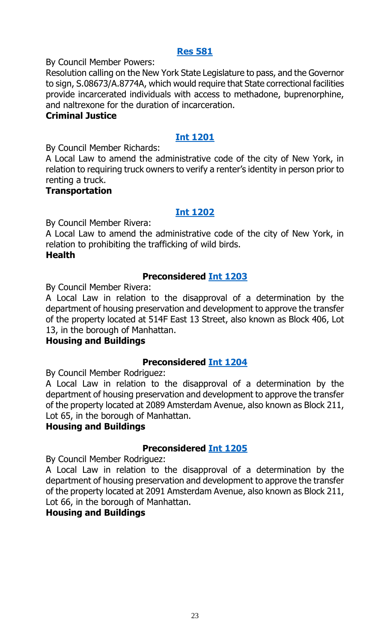## **[Res 581](https://legistar.council.nyc.gov/LegislationDetail.aspx?ID=3713938&GUID=EA122F96-8B75-4F1A-B5EC-655385508633&Options=ID|&Search=)**

By Council Member Powers:

Resolution calling on the New York State Legislature to pass, and the Governor to sign, S.08673/A.8774A, which would require that State correctional facilities provide incarcerated individuals with access to methadone, buprenorphine, and naltrexone for the duration of incarceration.

#### **Criminal Justice**

## **[Int 1201](https://legistar.council.nyc.gov/LegislationDetail.aspx?ID=3713937&GUID=A7A9BDB5-E9A3-48B1-BC4F-D1DFC6E561D6&Options=ID|&Search=)**

By Council Member Richards:

A Local Law to amend the administrative code of the city of New York, in relation to requiring truck owners to verify a renter's identity in person prior to renting a truck.

## **Transportation**

## **[Int 1202](https://legistar.council.nyc.gov/LegislationDetail.aspx?ID=3713935&GUID=C663F92D-18A8-4B7A-988D-AAA124BB1A07&Options=ID|&Search=)**

By Council Member Rivera:

A Local Law to amend the administrative code of the city of New York, in relation to prohibiting the trafficking of wild birds. **Health**

## **Preconsidered [Int 1203](https://legistar.council.nyc.gov/LegislationDetail.aspx?ID=3713575&GUID=18985B38-B485-4815-90C8-08EF637F49A5&Options=ID|&Search=)**

By Council Member Rivera:

A Local Law in relation to the disapproval of a determination by the department of housing preservation and development to approve the transfer of the property located at 514F East 13 Street, also known as Block 406, Lot 13, in the borough of Manhattan.

## **Housing and Buildings**

## **Preconsidered [Int 1204](https://legistar.council.nyc.gov/LegislationDetail.aspx?ID=3713576&GUID=D061F090-2D55-4AFE-B97D-741DE2B96890&Options=ID|&Search=)**

By Council Member Rodriguez:

A Local Law in relation to the disapproval of a determination by the department of housing preservation and development to approve the transfer of the property located at 2089 Amsterdam Avenue, also known as Block 211, Lot 65, in the borough of Manhattan.

## **Housing and Buildings**

## **Preconsidered [Int 1205](https://legistar.council.nyc.gov/LegislationDetail.aspx?ID=3713577&GUID=617A3C87-3C90-4F13-B98B-35A52491684D&Options=ID|&Search=)**

By Council Member Rodriguez:

A Local Law in relation to the disapproval of a determination by the department of housing preservation and development to approve the transfer of the property located at 2091 Amsterdam Avenue, also known as Block 211, Lot 66, in the borough of Manhattan.

## **Housing and Buildings**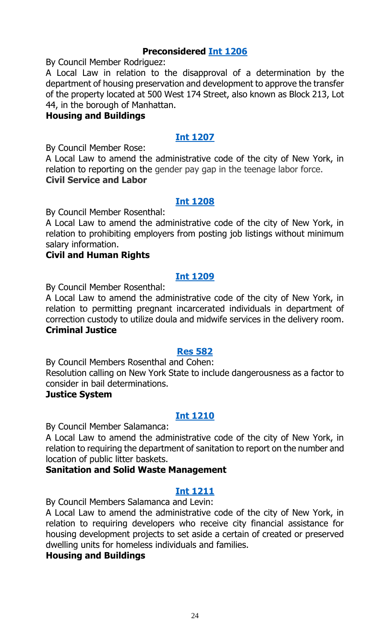## **Preconsidered [Int 1206](https://legistar.council.nyc.gov/LegislationDetail.aspx?ID=3713578&GUID=A4A7B595-4F46-410B-90F6-D9C2C6AA966C&Options=ID|&Search=)**

By Council Member Rodriguez:

A Local Law in relation to the disapproval of a determination by the department of housing preservation and development to approve the transfer of the property located at 500 West 174 Street, also known as Block 213, Lot 44, in the borough of Manhattan.

## **Housing and Buildings**

## **[Int 1207](https://legistar.council.nyc.gov/LegislationDetail.aspx?ID=3713963&GUID=D184E39E-4326-4DC9-94B3-B6F66A37D5BF&Options=ID|&Search=)**

By Council Member Rose:

A Local Law to amend the administrative code of the city of New York, in relation to reporting on the gender pay gap in the teenage labor force. **Civil Service and Labor**

## **[Int 1208](https://legistar.council.nyc.gov/LegislationDetail.aspx?ID=3713951&GUID=E7B03ABA-8F42-4341-A0D2-50E2F95320CD&Options=ID|&Search=)**

By Council Member Rosenthal:

A Local Law to amend the administrative code of the city of New York, in relation to prohibiting employers from posting job listings without minimum salary information.

## **Civil and Human Rights**

## **[Int 1209](https://legistar.council.nyc.gov/LegislationDetail.aspx?ID=3713964&GUID=FD7F860F-6A88-41E9-9BA7-4B1BBBCB1FFF&Options=ID|&Search=)**

By Council Member Rosenthal:

A Local Law to amend the administrative code of the city of New York, in relation to permitting pregnant incarcerated individuals in department of correction custody to utilize doula and midwife services in the delivery room. **Criminal Justice**

## **[Res 582](https://legistar.council.nyc.gov/LegislationDetail.aspx?ID=3713967&GUID=580B2AC0-4872-4A84-9898-A982C248B5C5&Options=ID|&Search=)**

By Council Members Rosenthal and Cohen: Resolution calling on New York State to include dangerousness as a factor to consider in bail determinations.

#### **Justice System**

## **[Int 1210](https://legistar.council.nyc.gov/LegislationDetail.aspx?ID=3713960&GUID=06C25A61-88C3-4315-8955-EDAC2288716C&Options=ID|&Search=)**

By Council Member Salamanca:

A Local Law to amend the administrative code of the city of New York, in relation to requiring the department of sanitation to report on the number and location of public litter baskets.

## **Sanitation and Solid Waste Management**

## **[Int 1211](https://legistar.council.nyc.gov/LegislationDetail.aspx?ID=3713966&GUID=2A26D80A-5759-445D-A16B-B0F370CA0D32&Options=ID|&Search=)**

By Council Members Salamanca and Levin:

A Local Law to amend the administrative code of the city of New York, in relation to requiring developers who receive city financial assistance for housing development projects to set aside a certain of created or preserved dwelling units for homeless individuals and families.

#### **Housing and Buildings**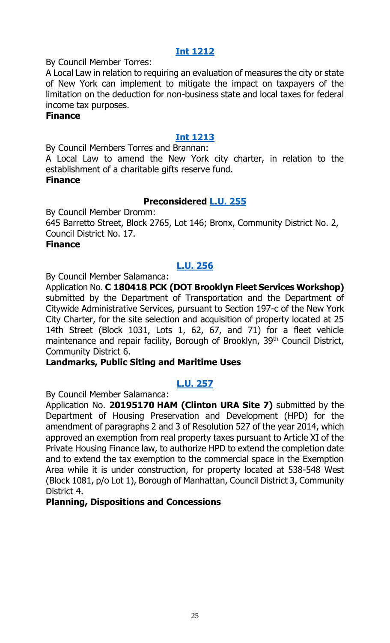## **[Int 1212](https://legistar.council.nyc.gov/LegislationDetail.aspx?ID=3713952&GUID=911C31D5-6388-48BF-B015-305131DC2A36&Options=ID|&Search=)**

By Council Member Torres:

A Local Law in relation to requiring an evaluation of measures the city or state of New York can implement to mitigate the impact on taxpayers of the limitation on the deduction for non-business state and local taxes for federal income tax purposes.

#### **Finance**

## **[Int 1213](https://legistar.council.nyc.gov/LegislationDetail.aspx?ID=3713961&GUID=EAA25A5B-85AA-4B55-9076-5868C777C467&Options=ID|&Search=)**

By Council Members Torres and Brannan:

A Local Law to amend the New York city charter, in relation to the establishment of a charitable gifts reserve fund.

#### **Finance**

## **Preconsidered [L.U. 255](https://legistar.council.nyc.gov/LegislationDetail.aspx?ID=3710645&GUID=CBC7E04C-49B8-4559-8D02-5A6A965D3AB3&Options=ID%7c&Search=)**

By Council Member Dromm:

645 Barretto Street, Block 2765, Lot 146; Bronx, Community District No. 2, Council District No. 17.

#### **Finance**

## **[L.U. 256](https://legistar.council.nyc.gov/LegislationDetail.aspx?ID=3712831&GUID=4BDB15C6-27CB-40AD-9EA9-5AE5154B2CC5&Options=ID|&Search=)**

By Council Member Salamanca:

Application No. **C 180418 PCK (DOT Brooklyn Fleet Services Workshop)**  submitted by the Department of Transportation and the Department of Citywide Administrative Services, pursuant to Section 197-c of the New York City Charter, for the site selection and acquisition of property located at 25 14th Street (Block 1031, Lots 1, 62, 67, and 71) for a fleet vehicle maintenance and repair facility, Borough of Brooklyn, 39<sup>th</sup> Council District, Community District 6.

#### **Landmarks, Public Siting and Maritime Uses**

## **[L.U. 257](https://legistar.council.nyc.gov/LegislationDetail.aspx?ID=3712832&GUID=3D63F5CB-33CC-447F-9D5F-29822782F20D&Options=ID|&Search=)**

By Council Member Salamanca:

Application No. **20195170 HAM (Clinton URA Site 7)** submitted by the Department of Housing Preservation and Development (HPD) for the amendment of paragraphs 2 and 3 of Resolution 527 of the year 2014, which approved an exemption from real property taxes pursuant to Article XI of the Private Housing Finance law, to authorize HPD to extend the completion date and to extend the tax exemption to the commercial space in the Exemption Area while it is under construction, for property located at 538-548 West (Block 1081, p/o Lot 1), Borough of Manhattan, Council District 3, Community District 4.

#### **Planning, Dispositions and Concessions**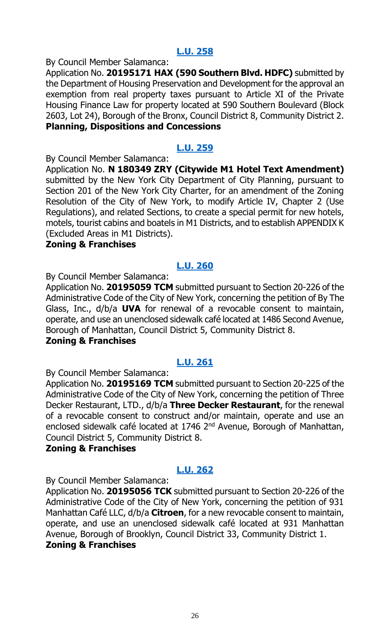## **[L.U. 258](https://legistar.council.nyc.gov/LegislationDetail.aspx?ID=3712834&GUID=EB63672B-36DF-445E-A0BA-F3AD63ABA0BC&Options=ID|&Search=)**

By Council Member Salamanca:

Application No. **20195171 HAX (590 Southern Blvd. HDFC)** submitted by the Department of Housing Preservation and Development for the approval an exemption from real property taxes pursuant to Article XI of the Private Housing Finance Law for property located at 590 Southern Boulevard (Block 2603, Lot 24), Borough of the Bronx, Council District 8, Community District 2. **Planning, Dispositions and Concessions**

## **[L.U. 259](https://legistar.council.nyc.gov/LegislationDetail.aspx?ID=3710414&GUID=B2B8137C-3030-4740-B952-E339E95F43BC&Options=ID|&Search=)**

By Council Member Salamanca:

Application No. **N 180349 ZRY (Citywide M1 Hotel Text Amendment)** submitted by the New York City Department of City Planning, pursuant to Section 201 of the New York City Charter, for an amendment of the Zoning Resolution of the City of New York, to modify Article IV, Chapter 2 (Use Regulations), and related Sections, to create a special permit for new hotels, motels, tourist cabins and boatels in M1 Districts, and to establish APPENDIX K (Excluded Areas in M1 Districts).

#### **Zoning & Franchises**

## **[L.U. 260](https://legistar.council.nyc.gov/LegislationDetail.aspx?ID=3712852&GUID=33E920D7-F05C-4FFE-8C4A-C5D22AF7D3DF&Options=ID|&Search=)**

By Council Member Salamanca:

Application No. **20195059 TCM** submitted pursuant to Section 20-226 of the Administrative Code of the City of New York, concerning the petition of By The Glass, Inc., d/b/a **UVA** for renewal of a revocable consent to maintain, operate, and use an unenclosed sidewalk café located at 1486 Second Avenue, Borough of Manhattan, Council District 5, Community District 8.

## **Zoning & Franchises**

## **[L.U. 261](https://legistar.council.nyc.gov/LegislationDetail.aspx?ID=3712853&GUID=03706BD6-02A3-4211-A1EE-6A26B606AF9C&Options=ID|&Search=)**

By Council Member Salamanca:

Application No. **20195169 TCM** submitted pursuant to Section 20-225 of the Administrative Code of the City of New York, concerning the petition of Three Decker Restaurant, LTD., d/b/a **Three Decker Restaurant**, for the renewal of a revocable consent to construct and/or maintain, operate and use an enclosed sidewalk café located at 1746 2<sup>nd</sup> Avenue, Borough of Manhattan, Council District 5, Community District 8.

## **Zoning & Franchises**

## **[L.U. 262](https://legistar.council.nyc.gov/LegislationDetail.aspx?ID=3712854&GUID=DE8C5282-CF80-4176-BE7D-C108E00FC9B5&Options=ID|&Search=)**

By Council Member Salamanca:

Application No. **20195056 TCK** submitted pursuant to Section 20-226 of the Administrative Code of the City of New York, concerning the petition of 931 Manhattan Café LLC, d/b/a **Citroen**, for a new revocable consent to maintain, operate, and use an unenclosed sidewalk café located at 931 Manhattan Avenue, Borough of Brooklyn, Council District 33, Community District 1. **Zoning & Franchises**